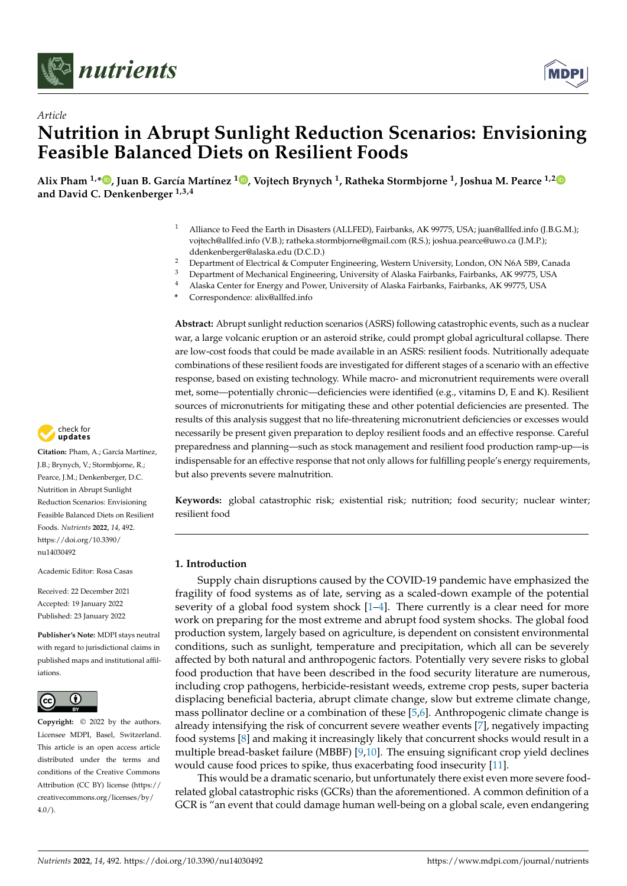



# *Article* **Nutrition in Abrupt Sunlight Reduction Scenarios: Envisioning Feasible Balanced Diets on Resilient Foods**

Alix Pham <sup>1[,](https://orcid.org/0000-0002-8761-7470)</sup>\*®, Juan B. García Martínez <sup>1</sup>®, Vojtech Brynych <sup>1</sup>, Ratheka Stormbjorne <sup>1</sup>, Joshua M. Pearce <sup>1,[2](https://orcid.org/0000-0001-9802-3056)</sup> **and David C. Denkenberger 1,3,4**

- Alliance to Feed the Earth in Disasters (ALLFED), Fairbanks, AK 99775, USA; juan@allfed.info (J.B.G.M.); vojtech@allfed.info (V.B.); ratheka.stormbjorne@gmail.com (R.S.); joshua.pearce@uwo.ca (J.M.P.); ddenkenberger@alaska.edu (D.C.D.)
- <sup>2</sup> Department of Electrical & Computer Engineering, Western University, London, ON N6A 5B9, Canada<br><sup>3</sup> Department of Mechanical Engineering, University of Alacka Fairbanka, Esirbanka, AK 99775, USA
- <sup>3</sup> Department of Mechanical Engineering, University of Alaska Fairbanks, Fairbanks, AK 99775, USA<br><sup>4</sup> Alaska Gartar for Frances and Pressor University of Alaska Fairbanks, Fairbanks, AK 99775, USA
- <sup>4</sup> Alaska Center for Energy and Power, University of Alaska Fairbanks, Fairbanks, AK 99775, USA
- **\*** Correspondence: alix@allfed.info

**Abstract:** Abrupt sunlight reduction scenarios (ASRS) following catastrophic events, such as a nuclear war, a large volcanic eruption or an asteroid strike, could prompt global agricultural collapse. There are low-cost foods that could be made available in an ASRS: resilient foods. Nutritionally adequate combinations of these resilient foods are investigated for different stages of a scenario with an effective response, based on existing technology. While macro- and micronutrient requirements were overall met, some—potentially chronic—deficiencies were identified (e.g., vitamins D, E and K). Resilient sources of micronutrients for mitigating these and other potential deficiencies are presented. The results of this analysis suggest that no life-threatening micronutrient deficiencies or excesses would necessarily be present given preparation to deploy resilient foods and an effective response. Careful preparedness and planning—such as stock management and resilient food production ramp-up—is indispensable for an effective response that not only allows for fulfilling people's energy requirements, but also prevents severe malnutrition.

**Keywords:** global catastrophic risk; existential risk; nutrition; food security; nuclear winter; resilient food

## **1. Introduction**

Supply chain disruptions caused by the COVID-19 pandemic have emphasized the fragility of food systems as of late, serving as a scaled-down example of the potential severity of a global food system shock  $[1-4]$  $[1-4]$ . There currently is a clear need for more work on preparing for the most extreme and abrupt food system shocks. The global food production system, largely based on agriculture, is dependent on consistent environmental conditions, such as sunlight, temperature and precipitation, which all can be severely affected by both natural and anthropogenic factors. Potentially very severe risks to global food production that have been described in the food security literature are numerous, including crop pathogens, herbicide-resistant weeds, extreme crop pests, super bacteria displacing beneficial bacteria, abrupt climate change, slow but extreme climate change, mass pollinator decline or a combination of these [\[5,](#page-22-2)[6\]](#page-22-3). Anthropogenic climate change is already intensifying the risk of concurrent severe weather events [\[7\]](#page-23-0), negatively impacting food systems [\[8\]](#page-23-1) and making it increasingly likely that concurrent shocks would result in a multiple bread-basket failure (MBBF) [\[9,](#page-23-2)[10\]](#page-23-3). The ensuing significant crop yield declines would cause food prices to spike, thus exacerbating food insecurity [\[11\]](#page-23-4).

This would be a dramatic scenario, but unfortunately there exist even more severe foodrelated global catastrophic risks (GCRs) than the aforementioned. A common definition of a GCR is "an event that could damage human well-being on a global scale, even endangering



**Citation:** Pham, A.; García Martínez, J.B.; Brynych, V.; Stormbjorne, R.; Pearce, J.M.; Denkenberger, D.C. Nutrition in Abrupt Sunlight Reduction Scenarios: Envisioning Feasible Balanced Diets on Resilient Foods. *Nutrients* **2022**, *14*, 492. [https://doi.org/10.3390/](https://doi.org/10.3390/nu14030492) [nu14030492](https://doi.org/10.3390/nu14030492)

Academic Editor: Rosa Casas

Received: 22 December 2021 Accepted: 19 January 2022 Published: 23 January 2022

**Publisher's Note:** MDPI stays neutral with regard to jurisdictional claims in published maps and institutional affiliations.



**Copyright:** © 2022 by the authors. Licensee MDPI, Basel, Switzerland. This article is an open access article distributed under the terms and conditions of the Creative Commons Attribution (CC BY) license [\(https://](https://creativecommons.org/licenses/by/4.0/) [creativecommons.org/licenses/by/](https://creativecommons.org/licenses/by/4.0/)  $4.0/$ ).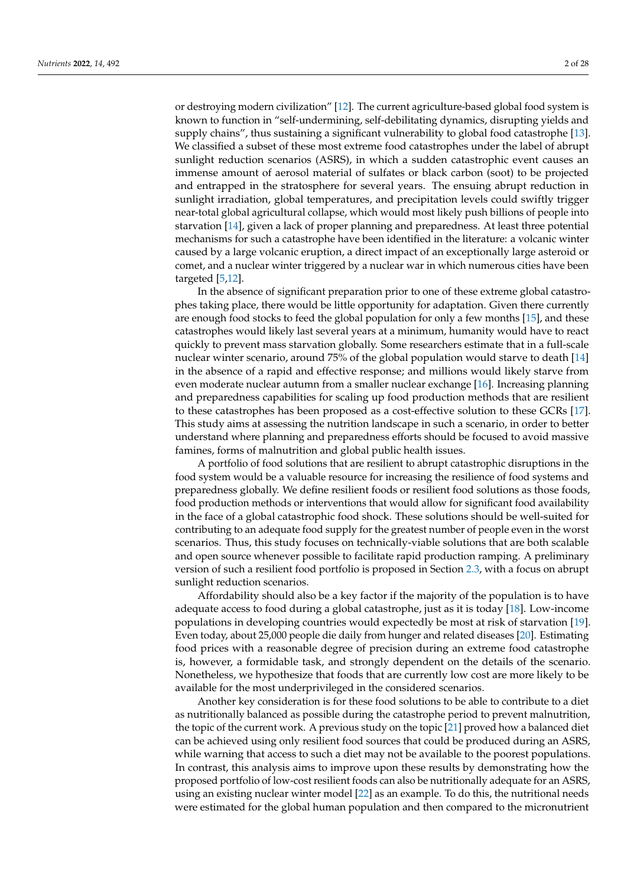or destroying modern civilization" [\[12\]](#page-23-5). The current agriculture-based global food system is known to function in "self-undermining, self-debilitating dynamics, disrupting yields and supply chains", thus sustaining a significant vulnerability to global food catastrophe [\[13\]](#page-23-6). We classified a subset of these most extreme food catastrophes under the label of abrupt sunlight reduction scenarios (ASRS), in which a sudden catastrophic event causes an immense amount of aerosol material of sulfates or black carbon (soot) to be projected and entrapped in the stratosphere for several years. The ensuing abrupt reduction in sunlight irradiation, global temperatures, and precipitation levels could swiftly trigger near-total global agricultural collapse, which would most likely push billions of people into starvation [\[14\]](#page-23-7), given a lack of proper planning and preparedness. At least three potential mechanisms for such a catastrophe have been identified in the literature: a volcanic winter caused by a large volcanic eruption, a direct impact of an exceptionally large asteroid or comet, and a nuclear winter triggered by a nuclear war in which numerous cities have been targeted [\[5,](#page-22-2)[12\]](#page-23-5).

In the absence of significant preparation prior to one of these extreme global catastrophes taking place, there would be little opportunity for adaptation. Given there currently are enough food stocks to feed the global population for only a few months [\[15\]](#page-23-8), and these catastrophes would likely last several years at a minimum, humanity would have to react quickly to prevent mass starvation globally. Some researchers estimate that in a full-scale nuclear winter scenario, around 75% of the global population would starve to death [\[14\]](#page-23-7) in the absence of a rapid and effective response; and millions would likely starve from even moderate nuclear autumn from a smaller nuclear exchange [\[16\]](#page-23-9). Increasing planning and preparedness capabilities for scaling up food production methods that are resilient to these catastrophes has been proposed as a cost-effective solution to these GCRs [\[17\]](#page-23-10). This study aims at assessing the nutrition landscape in such a scenario, in order to better understand where planning and preparedness efforts should be focused to avoid massive famines, forms of malnutrition and global public health issues.

A portfolio of food solutions that are resilient to abrupt catastrophic disruptions in the food system would be a valuable resource for increasing the resilience of food systems and preparedness globally. We define resilient foods or resilient food solutions as those foods, food production methods or interventions that would allow for significant food availability in the face of a global catastrophic food shock. These solutions should be well-suited for contributing to an adequate food supply for the greatest number of people even in the worst scenarios. Thus, this study focuses on technically-viable solutions that are both scalable and open source whenever possible to facilitate rapid production ramping. A preliminary version of such a resilient food portfolio is proposed in Section [2.3,](#page-3-0) with a focus on abrupt sunlight reduction scenarios.

Affordability should also be a key factor if the majority of the population is to have adequate access to food during a global catastrophe, just as it is today [\[18\]](#page-23-11). Low-income populations in developing countries would expectedly be most at risk of starvation [\[19\]](#page-23-12). Even today, about 25,000 people die daily from hunger and related diseases [\[20\]](#page-23-13). Estimating food prices with a reasonable degree of precision during an extreme food catastrophe is, however, a formidable task, and strongly dependent on the details of the scenario. Nonetheless, we hypothesize that foods that are currently low cost are more likely to be available for the most underprivileged in the considered scenarios.

Another key consideration is for these food solutions to be able to contribute to a diet as nutritionally balanced as possible during the catastrophe period to prevent malnutrition, the topic of the current work. A previous study on the topic [\[21\]](#page-23-14) proved how a balanced diet can be achieved using only resilient food sources that could be produced during an ASRS, while warning that access to such a diet may not be available to the poorest populations. In contrast, this analysis aims to improve upon these results by demonstrating how the proposed portfolio of low-cost resilient foods can also be nutritionally adequate for an ASRS, using an existing nuclear winter model [\[22\]](#page-23-15) as an example. To do this, the nutritional needs were estimated for the global human population and then compared to the micronutrient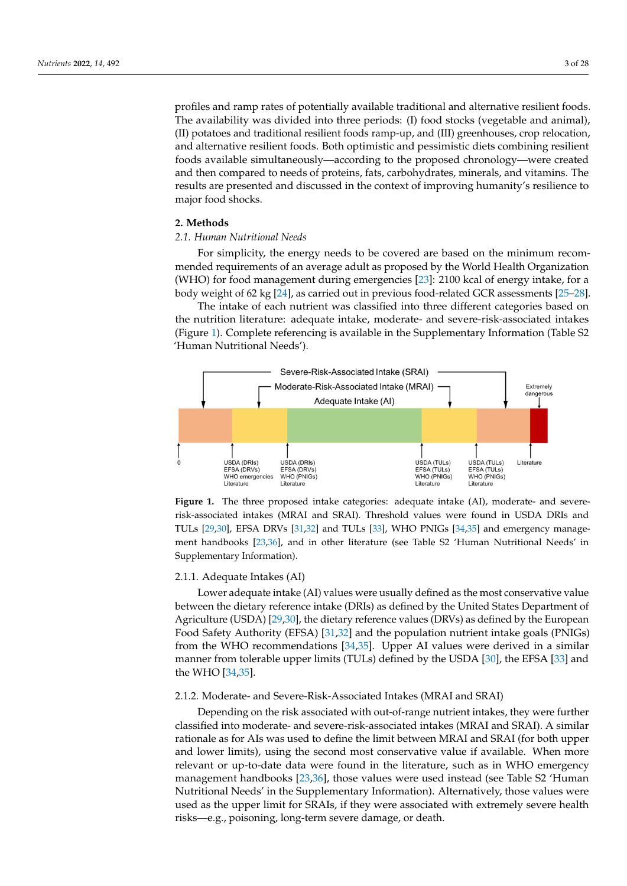profiles and ramp rates of potentially available traditional and alternative resilient foods. The availability was divided into three periods: (I) food stocks (vegetable and animal), (II) potatoes and traditional resilient foods ramp-up, and (III) greenhouses, crop relocation, and alternative resilient foods. Both optimistic and pessimistic diets combining resilient foods available simultaneously—according to the proposed chronology—were created and then compared to needs of proteins, fats, carbohydrates, minerals, and vitamins. The results are presented and discussed in the context of improving humanity's resilience to major food shocks.

## **2. Methods** *2.1. Human Nutritional Needs*

## 2.1. Human Nutritional Needs to be covered are based on the minimum recommending are based on the minimum recom-

For simplicity, the energy needs to be covered are based on the minimum recommended requirements of an average adult as proposed by the World Health Organization (WHO) for food management during emergencies [\[23\]](#page-23-16): 2100 kcal of energy intake, for a body weight of 62 kg [\[24\]](#page-23-17), as carried out in previous food-related GCR assessments [\[25](#page-23-18)-28].

The intake of each nutrient was classified into three different categories based on The intake of each nutrient was classified into three different categories based on the the nutrition literature: adequate intake, moderate- and severe-risk-associated intakes (Figure 1). Com[pl](#page-2-0)ete referencing is available in the Supplementary Information (Table S2 'Human Nutritional Needs'). Nutritional Needs').

<span id="page-2-0"></span>

**Figure 1.** The three proposed intake categories: adequate intake (AI), moderate- and severerisk-associated intakes (MRAI and SRAI). Threshold values were found in USDA DRIs and TULs [\[29,](#page-23-20)[30\]](#page-23-21), EFSA DRVs [\[31,](#page-23-22)[32\]](#page-23-23) and TULs [\[33\]](#page-24-0), WHO PNIGs [\[34,](#page-24-1)[35\]](#page-24-2) and emergency manage-ment handbooks [\[23,](#page-23-16)[36\]](#page-24-3), and in other literature (see Table S2 'Human Nutritional Needs' in Supplementary Information).

## 2.1.1. Adequate Intakes (AI) 2.1.1. Adequate Intakes (AI)

Lower adequate intake (AI) values were usually defined as the most conservative Lower adequate intake (AI) values were usually defined as the most conservative value between the dietary reference intake (DRIs) as defined by the United States Department of Agriculture (USDA) [\[29,](#page-23-20)[30\]](#page-23-21), the dietary reference values (DRVs) as defined by the European Food Safety Authority (EFSA) [\[31,](#page-23-22)[32\]](#page-23-23) and the population nutrient intake goals (PNIGs) from the WHO recommendations [\[34,](#page-24-1)[35\]](#page-24-2). Upper AI values were derived in a similar manner from tolerable upper limits (TULs) defined by the USDA [\[30\]](#page-23-21), the EFSA [\[33\]](#page-24-0) and the WHO  $[34,35]$  $[34,35]$ .

## 2.1.2. Moderate- and Severe-Risk-Associated Intakes (MRAI and SRAI) 2.1.2. Moderate- and Severe-Risk-Associated Intakes (MRAI and SRAI)

Depending on the risk associated with out-of-range nutrient intakes, they were further ther classified into moderate- and severe-risk-associated intakes (MRAI and SRAI). A sim-classified into moderate- and severe-risk-associated intakes (MRAI and SRAI). A similar rationale as for AIs was used to define the limit between MRAI and SRAI (for both upper and lower limits), using the second most conservative value if available. When more relevant or up-to-date data were found in the literature, such as in WHO emergency management handbooks [\[23](#page-23-16)[,36\]](#page-24-3), those values were used instead (see Table S2 'Human Nutritional Needs' in the Supplementary Information). Alternatively, those values were used as the upper limit for SRAIs, if they were associated with extremely severe health risks—e.g., poisoning, long-term severe damage, or death.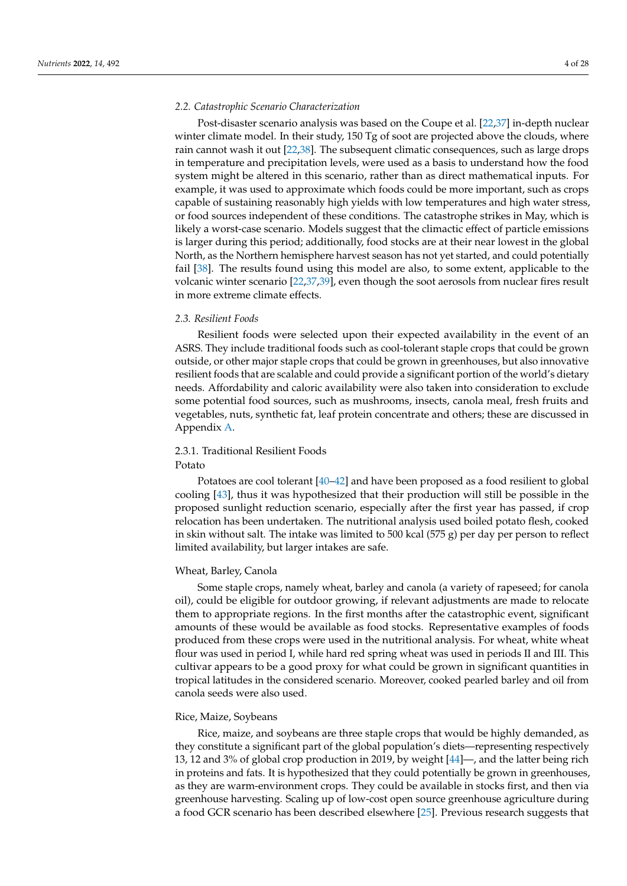## *2.2. Catastrophic Scenario Characterization*

Post-disaster scenario analysis was based on the Coupe et al. [\[22,](#page-23-15)[37\]](#page-24-4) in-depth nuclear winter climate model. In their study, 150 Tg of soot are projected above the clouds, where rain cannot wash it out [\[22](#page-23-15)[,38\]](#page-24-5). The subsequent climatic consequences, such as large drops in temperature and precipitation levels, were used as a basis to understand how the food system might be altered in this scenario, rather than as direct mathematical inputs. For example, it was used to approximate which foods could be more important, such as crops capable of sustaining reasonably high yields with low temperatures and high water stress, or food sources independent of these conditions. The catastrophe strikes in May, which is likely a worst-case scenario. Models suggest that the climactic effect of particle emissions is larger during this period; additionally, food stocks are at their near lowest in the global North, as the Northern hemisphere harvest season has not yet started, and could potentially fail [\[38\]](#page-24-5). The results found using this model are also, to some extent, applicable to the volcanic winter scenario [\[22](#page-23-15)[,37](#page-24-4)[,39\]](#page-24-6), even though the soot aerosols from nuclear fires result in more extreme climate effects.

## <span id="page-3-0"></span>*2.3. Resilient Foods*

Resilient foods were selected upon their expected availability in the event of an ASRS. They include traditional foods such as cool-tolerant staple crops that could be grown outside, or other major staple crops that could be grown in greenhouses, but also innovative resilient foods that are scalable and could provide a significant portion of the world's dietary needs. Affordability and caloric availability were also taken into consideration to exclude some potential food sources, such as mushrooms, insects, canola meal, fresh fruits and vegetables, nuts, synthetic fat, leaf protein concentrate and others; these are discussed in Appendix [A.](#page-16-0)

## 2.3.1. Traditional Resilient Foods

## Potato

Potatoes are cool tolerant [\[40–](#page-24-7)[42\]](#page-24-8) and have been proposed as a food resilient to global cooling [\[43\]](#page-24-9), thus it was hypothesized that their production will still be possible in the proposed sunlight reduction scenario, especially after the first year has passed, if crop relocation has been undertaken. The nutritional analysis used boiled potato flesh, cooked in skin without salt. The intake was limited to 500 kcal (575 g) per day per person to reflect limited availability, but larger intakes are safe.

## Wheat, Barley, Canola

Some staple crops, namely wheat, barley and canola (a variety of rapeseed; for canola oil), could be eligible for outdoor growing, if relevant adjustments are made to relocate them to appropriate regions. In the first months after the catastrophic event, significant amounts of these would be available as food stocks. Representative examples of foods produced from these crops were used in the nutritional analysis. For wheat, white wheat flour was used in period I, while hard red spring wheat was used in periods II and III. This cultivar appears to be a good proxy for what could be grown in significant quantities in tropical latitudes in the considered scenario. Moreover, cooked pearled barley and oil from canola seeds were also used.

## Rice, Maize, Soybeans

Rice, maize, and soybeans are three staple crops that would be highly demanded, as they constitute a significant part of the global population's diets—representing respectively 13, 12 and 3% of global crop production in 2019, by weight [\[44\]](#page-24-10)—, and the latter being rich in proteins and fats. It is hypothesized that they could potentially be grown in greenhouses, as they are warm-environment crops. They could be available in stocks first, and then via greenhouse harvesting. Scaling up of low-cost open source greenhouse agriculture during a food GCR scenario has been described elsewhere [\[25\]](#page-23-18). Previous research suggests that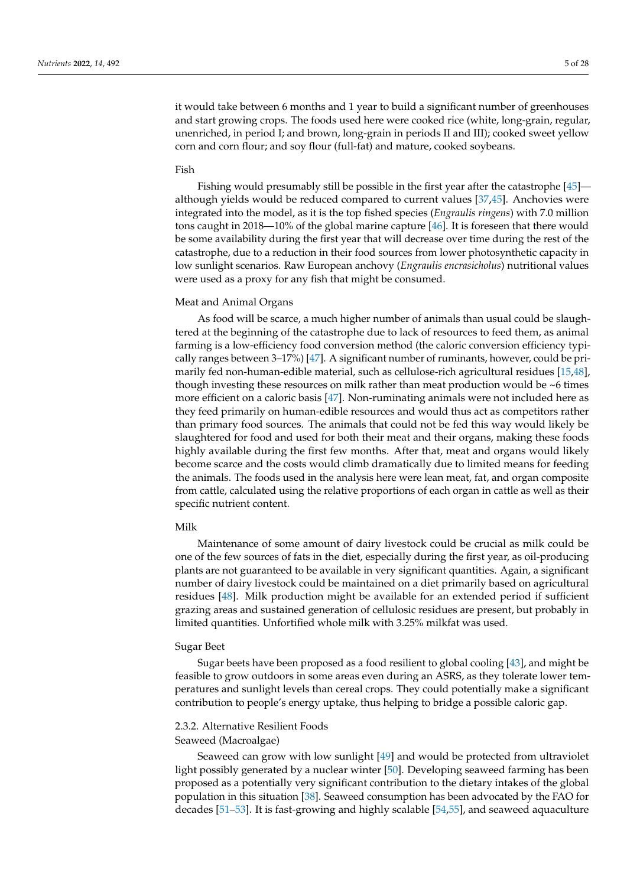it would take between 6 months and 1 year to build a significant number of greenhouses and start growing crops. The foods used here were cooked rice (white, long-grain, regular, unenriched, in period I; and brown, long-grain in periods II and III); cooked sweet yellow corn and corn flour; and soy flour (full-fat) and mature, cooked soybeans.

#### Fish

Fishing would presumably still be possible in the first year after the catastrophe [\[45\]](#page-24-11) although yields would be reduced compared to current values [\[37](#page-24-4)[,45\]](#page-24-11). Anchovies were integrated into the model, as it is the top fished species (*Engraulis ringens*) with 7.0 million tons caught in 2018—10% of the global marine capture [\[46\]](#page-24-12). It is foreseen that there would be some availability during the first year that will decrease over time during the rest of the catastrophe, due to a reduction in their food sources from lower photosynthetic capacity in low sunlight scenarios. Raw European anchovy (*Engraulis encrasicholus*) nutritional values were used as a proxy for any fish that might be consumed.

## Meat and Animal Organs

As food will be scarce, a much higher number of animals than usual could be slaughtered at the beginning of the catastrophe due to lack of resources to feed them, as animal farming is a low-efficiency food conversion method (the caloric conversion efficiency typically ranges between 3–17%) [\[47\]](#page-24-13). A significant number of ruminants, however, could be primarily fed non-human-edible material, such as cellulose-rich agricultural residues [\[15](#page-23-8)[,48\]](#page-24-14), though investing these resources on milk rather than meat production would be ~6 times more efficient on a caloric basis [\[47\]](#page-24-13). Non-ruminating animals were not included here as they feed primarily on human-edible resources and would thus act as competitors rather than primary food sources. The animals that could not be fed this way would likely be slaughtered for food and used for both their meat and their organs, making these foods highly available during the first few months. After that, meat and organs would likely become scarce and the costs would climb dramatically due to limited means for feeding the animals. The foods used in the analysis here were lean meat, fat, and organ composite from cattle, calculated using the relative proportions of each organ in cattle as well as their specific nutrient content.

## Milk

Maintenance of some amount of dairy livestock could be crucial as milk could be one of the few sources of fats in the diet, especially during the first year, as oil-producing plants are not guaranteed to be available in very significant quantities. Again, a significant number of dairy livestock could be maintained on a diet primarily based on agricultural residues [\[48\]](#page-24-14). Milk production might be available for an extended period if sufficient grazing areas and sustained generation of cellulosic residues are present, but probably in limited quantities. Unfortified whole milk with 3.25% milkfat was used.

## Sugar Beet

Sugar beets have been proposed as a food resilient to global cooling [\[43\]](#page-24-9), and might be feasible to grow outdoors in some areas even during an ASRS, as they tolerate lower temperatures and sunlight levels than cereal crops. They could potentially make a significant contribution to people's energy uptake, thus helping to bridge a possible caloric gap.

## 2.3.2. Alternative Resilient Foods

## Seaweed (Macroalgae)

Seaweed can grow with low sunlight [\[49\]](#page-24-15) and would be protected from ultraviolet light possibly generated by a nuclear winter [\[50\]](#page-24-16). Developing seaweed farming has been proposed as a potentially very significant contribution to the dietary intakes of the global population in this situation [\[38\]](#page-24-5). Seaweed consumption has been advocated by the FAO for decades [\[51](#page-24-17)[–53\]](#page-24-18). It is fast-growing and highly scalable [\[54](#page-24-19)[,55\]](#page-24-20), and seaweed aquaculture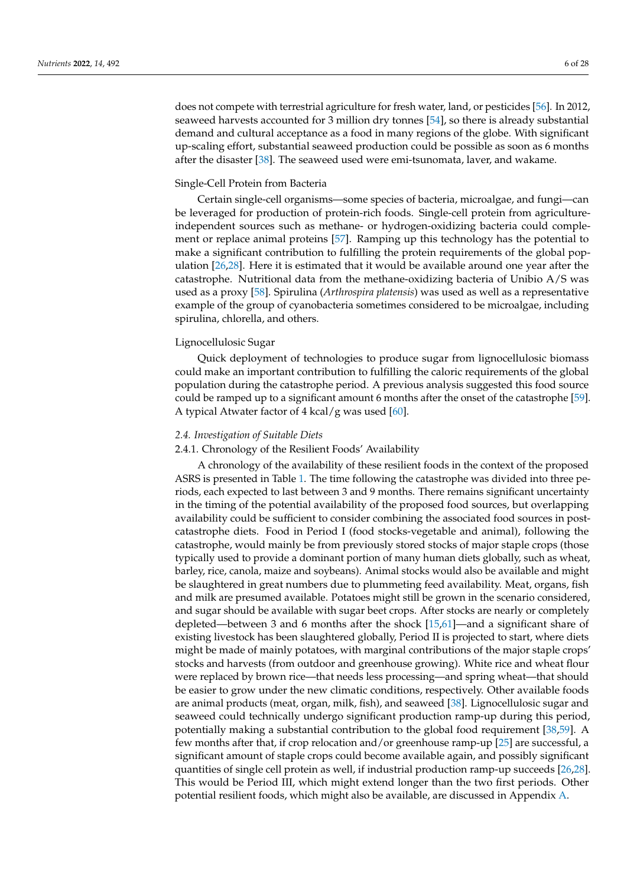does not compete with terrestrial agriculture for fresh water, land, or pesticides [\[56\]](#page-24-21). In 2012, seaweed harvests accounted for 3 million dry tonnes [\[54\]](#page-24-19), so there is already substantial demand and cultural acceptance as a food in many regions of the globe. With significant up-scaling effort, substantial seaweed production could be possible as soon as 6 months after the disaster [\[38\]](#page-24-5). The seaweed used were emi-tsunomata, laver, and wakame.

## Single-Cell Protein from Bacteria

Certain single-cell organisms—some species of bacteria, microalgae, and fungi—can be leveraged for production of protein-rich foods. Single-cell protein from agricultureindependent sources such as methane- or hydrogen-oxidizing bacteria could complement or replace animal proteins [\[57\]](#page-24-22). Ramping up this technology has the potential to make a significant contribution to fulfilling the protein requirements of the global population [\[26](#page-23-24)[,28\]](#page-23-19). Here it is estimated that it would be available around one year after the catastrophe. Nutritional data from the methane-oxidizing bacteria of Unibio A/S was used as a proxy [\[58\]](#page-24-23). Spirulina (*Arthrospira platensis*) was used as well as a representative example of the group of cyanobacteria sometimes considered to be microalgae, including spirulina, chlorella, and others.

## Lignocellulosic Sugar

Quick deployment of technologies to produce sugar from lignocellulosic biomass could make an important contribution to fulfilling the caloric requirements of the global population during the catastrophe period. A previous analysis suggested this food source could be ramped up to a significant amount 6 months after the onset of the catastrophe [\[59\]](#page-25-0). A typical Atwater factor of  $4 \text{ kcal/g}$  was used [\[60\]](#page-25-1).

## *2.4. Investigation of Suitable Diets*

## <span id="page-5-0"></span>2.4.1. Chronology of the Resilient Foods' Availability

A chronology of the availability of these resilient foods in the context of the proposed ASRS is presented in Table [1.](#page-6-0) The time following the catastrophe was divided into three periods, each expected to last between 3 and 9 months. There remains significant uncertainty in the timing of the potential availability of the proposed food sources, but overlapping availability could be sufficient to consider combining the associated food sources in postcatastrophe diets. Food in Period I (food stocks-vegetable and animal), following the catastrophe, would mainly be from previously stored stocks of major staple crops (those typically used to provide a dominant portion of many human diets globally, such as wheat, barley, rice, canola, maize and soybeans). Animal stocks would also be available and might be slaughtered in great numbers due to plummeting feed availability. Meat, organs, fish and milk are presumed available. Potatoes might still be grown in the scenario considered, and sugar should be available with sugar beet crops. After stocks are nearly or completely depleted—between 3 and 6 months after the shock [\[15](#page-23-8)[,61\]](#page-25-2)—and a significant share of existing livestock has been slaughtered globally, Period II is projected to start, where diets might be made of mainly potatoes, with marginal contributions of the major staple crops' stocks and harvests (from outdoor and greenhouse growing). White rice and wheat flour were replaced by brown rice—that needs less processing—and spring wheat—that should be easier to grow under the new climatic conditions, respectively. Other available foods are animal products (meat, organ, milk, fish), and seaweed [\[38\]](#page-24-5). Lignocellulosic sugar and seaweed could technically undergo significant production ramp-up during this period, potentially making a substantial contribution to the global food requirement [\[38](#page-24-5)[,59\]](#page-25-0). A few months after that, if crop relocation and/or greenhouse ramp-up [\[25\]](#page-23-18) are successful, a significant amount of staple crops could become available again, and possibly significant quantities of single cell protein as well, if industrial production ramp-up succeeds [\[26,](#page-23-24)[28\]](#page-23-19). This would be Period III, which might extend longer than the two first periods. Other potential resilient foods, which might also be available, are discussed in Appendix [A.](#page-16-0)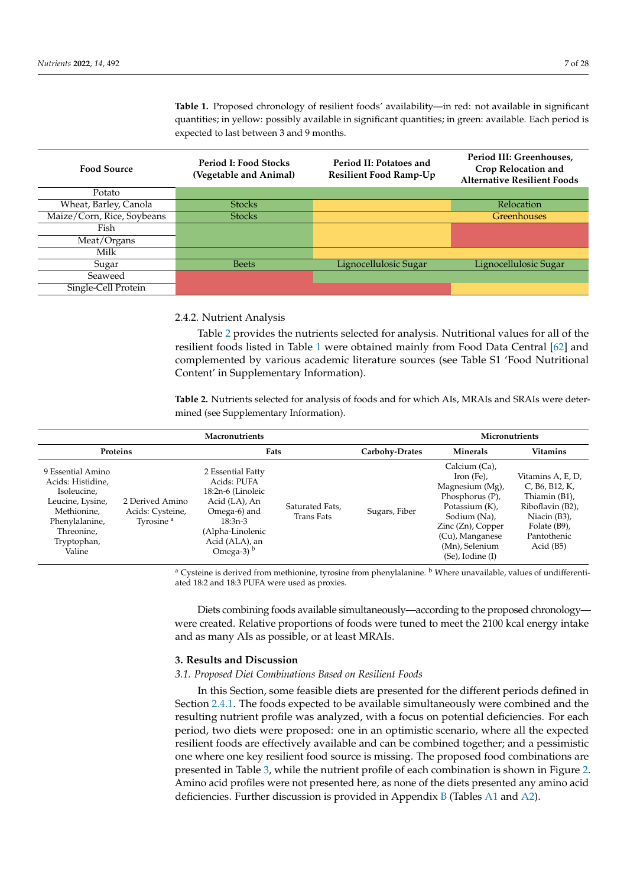<span id="page-6-0"></span>**Table 1.** Proposed chronology of resilient foods' availability—in red: not available in significant quantities; in yellow: possibly available in significant quantities; in green: available. Each period is expected to last between 3 and 9 months.

| <b>Food Source</b>         | <b>Period I: Food Stocks</b><br>(Vegetable and Animal) | Period II: Potatoes and<br><b>Resilient Food Ramp-Up</b> | Period III: Greenhouses,<br>Crop Relocation and<br><b>Alternative Resilient Foods</b> |
|----------------------------|--------------------------------------------------------|----------------------------------------------------------|---------------------------------------------------------------------------------------|
| Potato                     |                                                        |                                                          |                                                                                       |
| Wheat, Barley, Canola      | <b>Stocks</b>                                          |                                                          | Relocation                                                                            |
| Maize/Corn, Rice, Soybeans | <b>Stocks</b>                                          |                                                          | <b>Greenhouses</b>                                                                    |
| Fish                       |                                                        |                                                          |                                                                                       |
| Meat/Organs                |                                                        |                                                          |                                                                                       |
| Milk                       |                                                        |                                                          |                                                                                       |
| Sugar                      | <b>Beets</b>                                           | Lignocellulosic Sugar                                    | Lignocellulosic Sugar                                                                 |
| Seaweed                    |                                                        |                                                          |                                                                                       |
| Single-Cell Protein        |                                                        |                                                          |                                                                                       |

## 2.4.2. Nutrient Analysis

Table [2](#page-6-1) provides the nutrients selected for analysis. Nutritional values for all of the resilient foods listed in Table [1](#page-6-0) were obtained mainly from Food Data Central [\[62\]](#page-25-3) and complemented by various academic literature sources (see Table S1 'Food Nutritional Content' in Supplementary Information).

<span id="page-6-1"></span>**Table 2.** Nutrients selected for analysis of foods and for which AIs, MRAIs and SRAIs were determined (see Supplementary Information).

| <b>Macronutrients</b>                                                                                                                             |                                                              |                                                                                                                                                           |                               |                | Micronutrients                                                                                                                                                                                          |                                                                                                                                                                  |
|---------------------------------------------------------------------------------------------------------------------------------------------------|--------------------------------------------------------------|-----------------------------------------------------------------------------------------------------------------------------------------------------------|-------------------------------|----------------|---------------------------------------------------------------------------------------------------------------------------------------------------------------------------------------------------------|------------------------------------------------------------------------------------------------------------------------------------------------------------------|
| Proteins                                                                                                                                          |                                                              | Fats                                                                                                                                                      |                               | Carbohy-Drates | Minerals                                                                                                                                                                                                | <b>Vitamins</b>                                                                                                                                                  |
| 9 Essential Amino<br>Acids: Histidine,<br>Isoleucine,<br>Leucine, Lysine,<br>Methionine,<br>Phenylalanine,<br>Threonine,<br>Tryptophan,<br>Valine | 2 Derived Amino<br>Acids: Cysteine,<br>Tyrosine <sup>a</sup> | 2 Essential Fatty<br>Acids: PUFA<br>18:2n-6 (Linoleic<br>Acid (LA), An<br>Omega-6) and<br>$18:3n-3$<br>(Alpha-Linolenic<br>Acid (ALA), an<br>Omega-3) $b$ | Saturated Fats,<br>Trans Fats | Sugars, Fiber  | Calcium (Ca),<br>Iron (Fe),<br>Magnesium (Mg),<br>Phosphorus $(P)$ ,<br>Potassium (K),<br>Sodium (Na),<br>$\rm Zinc$ ( $\rm Zn$ ), Copper<br>(Cu), Manganese<br>(Mn), Selenium<br>$(Se)$ , Iodine $(I)$ | Vitamins A, E, D,<br>C, B <sub>6</sub> , B <sub>12</sub> , K,<br>Thiamin (B1),<br>Riboflavin (B2),<br>Niacin (B3),<br>Folate (B9),<br>Pantothenic<br>Acid $(B5)$ |

<sup>a</sup> Cysteine is derived from methionine, tyrosine from phenylalanine. <sup>b</sup> Where unavailable, values of undifferentiated 18:2 and 18:3 PUFA were used as proxies.

Diets combining foods available simultaneously—according to the proposed chronology were created. Relative proportions of foods were tuned to meet the 2100 kcal energy intake and as many AIs as possible, or at least MRAIs.

## **3. Results and Discussion**

## *3.1. Proposed Diet Combinations Based on Resilient Foods*

In this Section, some feasible diets are presented for the different periods defined in Section [2.4.1.](#page-5-0) The foods expected to be available simultaneously were combined and the resulting nutrient profile was analyzed, with a focus on potential deficiencies. For each period, two diets were proposed: one in an optimistic scenario, where all the expected resilient foods are effectively available and can be combined together; and a pessimistic one where one key resilient food source is missing. The proposed food combinations are presented in Table [3,](#page-7-0) while the nutrient profile of each combination is shown in Figure [2.](#page-8-0) Amino acid profiles were not presented here, as none of the diets presented any amino acid deficiencies. Further discussion is provided in Appendix  $\overline{B}$  $\overline{B}$  $\overline{B}$  (Tables [A1](#page-19-1) and [A2\)](#page-19-2).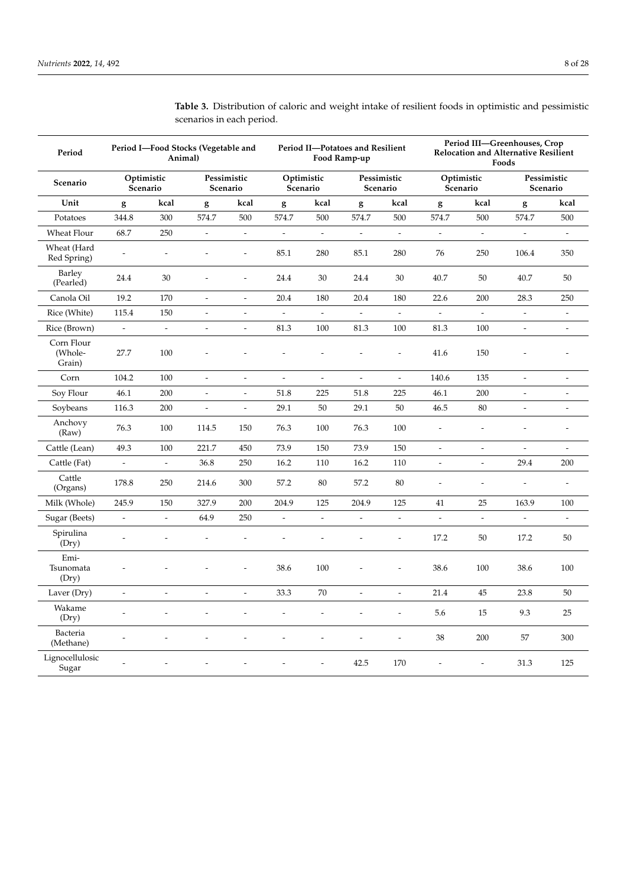| Period                          |                          | Animal)                  | Period I-Food Stocks (Vegetable and |                          |                          |                          | Period II-Potatoes and Resilient<br>Food Ramp-up |                          |                          |                          | Period III-Greenhouses, Crop<br><b>Relocation and Alternative Resilient</b><br>Foods |                          |
|---------------------------------|--------------------------|--------------------------|-------------------------------------|--------------------------|--------------------------|--------------------------|--------------------------------------------------|--------------------------|--------------------------|--------------------------|--------------------------------------------------------------------------------------|--------------------------|
| Scenario                        | Scenario                 | Optimistic               | Pessimistic<br>Scenario             |                          | Optimistic<br>Scenario   |                          | Pessimistic<br>Scenario                          |                          | Scenario                 | Optimistic               | Pessimistic<br>Scenario                                                              |                          |
| Unit                            | g                        | kcal                     | g                                   | kcal                     | g                        | kcal                     | g                                                | kcal                     | g                        | kcal                     | g                                                                                    | kcal                     |
| Potatoes                        | 344.8                    | 300                      | 574.7                               | 500                      | 574.7                    | 500                      | 574.7                                            | 500                      | 574.7                    | 500                      | 574.7                                                                                | 500                      |
| Wheat Flour                     | 68.7                     | 250                      | $\overline{\phantom{a}}$            | $\overline{\phantom{a}}$ | $\blacksquare$           | $\overline{\phantom{a}}$ | $\overline{\phantom{a}}$                         | $\overline{\phantom{a}}$ | $\overline{\phantom{a}}$ | $\blacksquare$           | $\blacksquare$                                                                       | $\overline{\phantom{a}}$ |
| Wheat (Hard<br>Red Spring)      | $\overline{\phantom{a}}$ | $\overline{\phantom{a}}$ | $\overline{a}$                      | $\overline{a}$           | 85.1                     | 280                      | 85.1                                             | 280                      | 76                       | 250                      | 106.4                                                                                | 350                      |
| Barley<br>(Pearled)             | 24.4                     | 30                       | $\overline{a}$                      | $\overline{a}$           | 24.4                     | 30                       | 24.4                                             | 30                       | 40.7                     | 50                       | 40.7                                                                                 | 50                       |
| Canola Oil                      | 19.2                     | 170                      | $\overline{\phantom{a}}$            | $\overline{\phantom{a}}$ | 20.4                     | 180                      | 20.4                                             | 180                      | 22.6                     | 200                      | 28.3                                                                                 | 250                      |
| Rice (White)                    | 115.4                    | 150                      | $\overline{a}$                      | $\overline{a}$           | $\overline{\phantom{a}}$ | $\frac{1}{2}$            | $\frac{1}{2}$                                    | $\overline{a}$           | $\overline{\phantom{a}}$ | $\overline{\phantom{a}}$ | $\overline{\phantom{a}}$                                                             | $\frac{1}{2}$            |
| Rice (Brown)                    | $\overline{\phantom{a}}$ | $\overline{\phantom{a}}$ | $\overline{\phantom{a}}$            | $\blacksquare$           | 81.3                     | 100                      | 81.3                                             | 100                      | 81.3                     | 100                      | $\blacksquare$                                                                       | $\overline{a}$           |
| Corn Flour<br>(Whole-<br>Grain) | 27.7                     | 100                      |                                     |                          |                          |                          |                                                  | $\overline{a}$           | 41.6                     | 150                      |                                                                                      |                          |
| Corn                            | 104.2                    | 100                      | $\blacksquare$                      | $\frac{1}{2}$            | $\frac{1}{2}$            | $\overline{\phantom{a}}$ | $\overline{\phantom{a}}$                         | $\blacksquare$           | 140.6                    | 135                      | $\overline{\phantom{a}}$                                                             | $\overline{\phantom{a}}$ |
| Soy Flour                       | 46.1                     | 200                      | $\overline{\phantom{a}}$            | $\overline{\phantom{a}}$ | 51.8                     | 225                      | 51.8                                             | 225                      | 46.1                     | 200                      | $\overline{\phantom{a}}$                                                             | $\overline{a}$           |
| Soybeans                        | 116.3                    | 200                      | $\blacksquare$                      | $\overline{\phantom{a}}$ | 29.1                     | 50                       | 29.1                                             | 50                       | 46.5                     | 80                       | $\overline{\phantom{a}}$                                                             | $\overline{a}$           |
| Anchovy<br>(Raw)                | 76.3                     | 100                      | 114.5                               | 150                      | 76.3                     | 100                      | 76.3                                             | 100                      | $\overline{\phantom{a}}$ | $\overline{\phantom{a}}$ |                                                                                      | $\overline{\phantom{a}}$ |
| Cattle (Lean)                   | 49.3                     | 100                      | 221.7                               | 450                      | 73.9                     | 150                      | 73.9                                             | 150                      | $\overline{\phantom{a}}$ | $\overline{\phantom{a}}$ | $\overline{\phantom{a}}$                                                             | $\overline{\phantom{a}}$ |
| Cattle (Fat)                    | $\overline{\phantom{a}}$ | $\overline{\phantom{a}}$ | 36.8                                | 250                      | 16.2                     | 110                      | 16.2                                             | 110                      | $\blacksquare$           | $\overline{\phantom{a}}$ | 29.4                                                                                 | 200                      |
| Cattle<br>(Organs)              | 178.8                    | 250                      | 214.6                               | 300                      | 57.2                     | 80                       | 57.2                                             | 80                       | Ξ                        | $\overline{a}$           | $\overline{a}$                                                                       | $\overline{a}$           |
| Milk (Whole)                    | 245.9                    | 150                      | 327.9                               | 200                      | 204.9                    | 125                      | 204.9                                            | 125                      | 41                       | 25                       | 163.9                                                                                | 100                      |
| Sugar (Beets)                   | $\overline{\phantom{a}}$ | $\overline{\phantom{a}}$ | 64.9                                | 250                      | $\frac{1}{2}$            | $\frac{1}{2}$            | $\overline{\phantom{a}}$                         | $\overline{\phantom{0}}$ | $\overline{\phantom{a}}$ | $\overline{\phantom{a}}$ |                                                                                      | $\overline{\phantom{a}}$ |
| Spirulina<br>(Dry)              | $\overline{a}$           | $\overline{a}$           | $\overline{a}$                      | $\overline{a}$           | $\overline{a}$           | $\overline{a}$           | $\overline{a}$                                   | $\overline{a}$           | 17.2                     | 50                       | 17.2                                                                                 | 50                       |
| Emi-<br>Tsunomata<br>(Dry)      |                          |                          |                                     |                          | 38.6                     | 100                      |                                                  |                          | 38.6                     | 100                      | 38.6                                                                                 | 100                      |
| Laver (Dry)                     | $\overline{\phantom{a}}$ | $\overline{a}$           | $\overline{a}$                      | $\overline{a}$           | 33.3                     | 70                       | $\overline{a}$                                   | $\overline{a}$           | 21.4                     | 45                       | 23.8                                                                                 | 50                       |
| Wakame<br>(Dry)                 |                          |                          |                                     |                          |                          |                          |                                                  | $\overline{a}$           | 5.6                      | 15                       | 9.3                                                                                  | 25                       |
| Bacteria<br>(Methane)           | $\overline{a}$           |                          |                                     |                          |                          | Ĭ.                       |                                                  | $\overline{\phantom{0}}$ | 38                       | 200                      | 57                                                                                   | 300                      |
| Lignocellulosic<br>Sugar        | $\overline{a}$           |                          |                                     |                          |                          |                          | 42.5                                             | 170                      | $\frac{1}{2}$            | $\overline{a}$           | 31.3                                                                                 | 125                      |

<span id="page-7-0"></span>**Table 3.** Distribution of caloric and weight intake of resilient foods in optimistic and pessimistic scenarios in each period.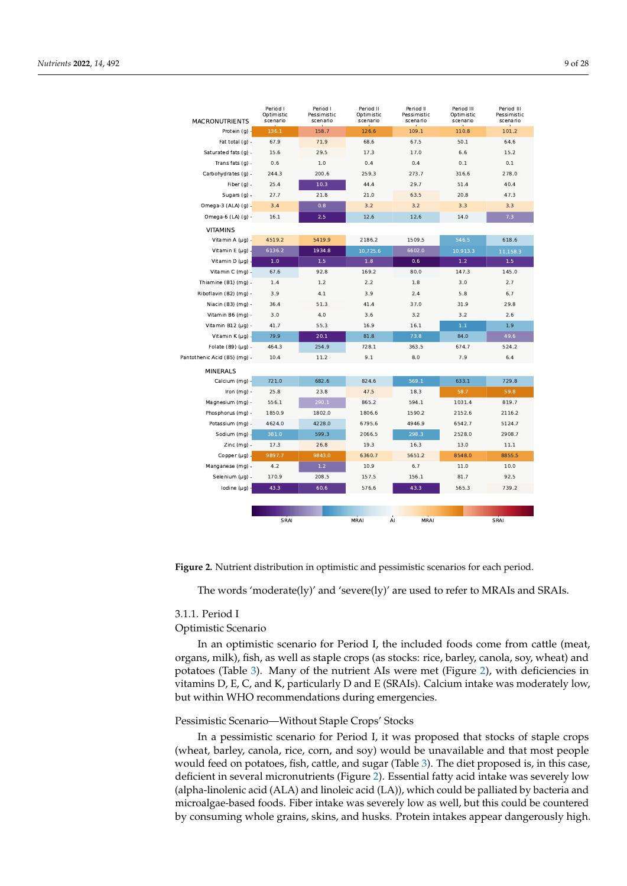<span id="page-8-0"></span>

| <b>MACRONUTRIENTS</b>        | Period I<br>Optimistic<br>scenario | Period I<br>Pessimistic<br>scenario | Period II<br>Optimistic<br>scenario | Period II<br>Pessimistic<br>scenario | Period III<br>Optimistic<br>scenario | Period III<br>Pessimistic<br>scenario |
|------------------------------|------------------------------------|-------------------------------------|-------------------------------------|--------------------------------------|--------------------------------------|---------------------------------------|
| Protein (g) -                | 136.1                              | 158.7                               | 126.6                               | 109.1                                | 110.8                                | 101.2                                 |
| Fat total $(q)$ -            | 67.9                               | 71.9                                | 68.6                                | 67.5                                 | 50.1                                 | 64.6                                  |
| Saturated fats (g) -         | 15.6                               | 29.5                                | 17.3                                | 17.0                                 | 6.6                                  | 15.2                                  |
| Trans fats $(q)$ -           | 0.6                                | 1.0                                 | 0.4                                 | 0.4                                  | 0.1                                  | 0.1                                   |
| Carbohydrates (q) -          | 244.3                              | 200.6                               | 259.3                               | 273.7                                | 316.6                                | 278.0                                 |
| Fiber $(q)$ -                | 25.4                               | 10.3                                | 44.4                                | 29.7                                 | 51.4                                 | 40.4                                  |
| Sugars (g) -                 | 27.7                               | 21.8                                | 21.0                                | 63.5                                 | 20.8                                 | 47.3                                  |
| Omega-3 (ALA) (g) -          | 3.4                                | 0.8                                 | 3.2                                 | 3.2                                  | 3.3                                  | 3.3                                   |
| Omega-6 (LA) (g) -           | 16.1                               | 2.5                                 | 12.6                                | 12.6                                 | 14.0                                 | 7.3                                   |
| <b>VITAMINS</b>              |                                    |                                     |                                     |                                      |                                      |                                       |
| Vitamin A $(\mu g)$ -        | 4519.2                             | 5419.9                              | 2186.2                              | 1509.5                               | 546.5                                | 618.6                                 |
| Vitamin E ( $\mu$ g) -       | 6136.2                             | 1934.8                              | 10,725.6                            | 6602.0                               | 10,913.3                             | 11,158.3                              |
| Vitamin D $(\mu q)$ .        | 1.0                                | 1.5                                 | 1.8                                 | 0.6                                  | 1.2                                  | 1.5                                   |
| Vitamin C (mg) -             | 67.6                               | 92.8                                | 169.2                               | 80.0                                 | 147.3                                | 145.0                                 |
| Thiamine (B1) (mg) -         | 1.4                                | 1.2                                 | 2.2                                 | 1.8                                  | 3.0                                  | 2.7                                   |
| Riboflavin (B2) (mg) -       | 3.9                                | 4.1                                 | 3.9                                 | 2.4                                  | 5.8                                  | 6.7                                   |
| Niacin (B3) (mq) -           | 36.4                               | 51.3                                | 41.4                                | 37.0                                 | 31.9                                 | 29.8                                  |
| Vitamin B6 (mq) -            | 3.0                                | 4.0                                 | 3.6                                 | 3.2                                  | 3.2                                  | 2.6                                   |
| Vitamin B12 (µq) -           | 41.7                               | 55.3                                | 16.9                                | 16.1                                 | $1.1$                                | 1.9                                   |
| Vitamin K $(\mu q)$ -        | 79.9                               | 20.1                                | 81.8                                | 73.8                                 | 84.0                                 | 49.6                                  |
| Folate $(B9)(\mu q)$ -       | 464.3                              | 254.9                               | 728.1                               | 363.5                                | 674.7                                | 524.2                                 |
| Pantothenic Acid (B5) (mg) - | 10.4                               | 11.2                                | 9.1                                 | 8.0                                  | 7.9                                  | 6.4                                   |
| <b>MINERALS</b>              |                                    |                                     |                                     |                                      |                                      |                                       |
| Calcium (mg) -               | 721.0                              | 682.6                               | 824.6                               | 569.1                                | 633.1                                | 729.8                                 |
| Iron $(mq)$ -                | 25.8                               | 23.8                                | 47.5                                | 18.3                                 | 58.7                                 | 59.8                                  |
| Magnesium (mg) -             | 556.1                              | 290.1                               | 865.2                               | 594.1                                | 1031.4                               | 819.7                                 |
| Phosphorus (mg) -            | 1850.9                             | 1802.0                              | 1806.6                              | 1590.2                               | 2152.6                               | 2116.2                                |
| Potassium (mg) -             | 4624.0                             | 4228.0                              | 6795.6                              | 4946.9                               | 6542.7                               | 5124.7                                |
| Sodium (mg) -                | 381.0                              | 599.3                               | 2066.5                              | 298.3                                | 2528.0                               | 2908.7                                |
| Zinc (mg) -                  | 17.3                               | 26.8                                | 19.3                                | 16.3                                 | 13.0                                 | 11.1                                  |
| Copper $(\mu g)$ .           | 9897.7                             | 9843.0                              | 6360.7                              | 5651.2                               | 8548.0                               | 8855.5                                |
| Manganese (mg) -             | 4.2                                | 1.2                                 | 10.9                                | 6.7                                  | 11.0                                 | 10.0                                  |
| Selenium (µg) -              | 170.9                              | 208.5                               | 157.5                               | 156.1                                | 81.7                                 | 92.5                                  |
| Iodine $(\mu q)$             | 43.3                               | 60.6                                | 576.6                               | 43.3                                 | 565.3                                | 739.2                                 |
|                              |                                    |                                     |                                     |                                      |                                      |                                       |
|                              |                                    |                                     |                                     |                                      |                                      |                                       |
|                              | SRAI                               |                                     | MRAI                                | MRAI<br>AI                           |                                      | SRAI                                  |

**Figure 2.** Nutrient distribution in optimistic and pessimistic scenarios for each period.

The words 'moderate(ly)' and 'severe(ly)' are used to refer to MRAIs and SRAIs.

## 3.1.1. Period I

## Optimistic Scenario

In an optimistic scenario for Period I, the included foods come from cattle (meat, organs, milk), fish, as well as staple crops (as stocks: rice, barley, canola, soy, wheat) and potatoes (Table [3\)](#page-7-0). Many of the nutrient AIs were met (Figure [2\)](#page-8-0), with deficiencies in vitamins D, E, C, and K, particularly D and E (SRAIs). Calcium intake was moderately low, but within WHO recommendations during emergencies.

## Pessimistic Scenario—Without Staple Crops' Stocks

In a pessimistic scenario for Period I, it was proposed that stocks of staple crops (wheat, barley, canola, rice, corn, and soy) would be unavailable and that most people would feed on potatoes, fish, cattle, and sugar (Table [3\)](#page-7-0). The diet proposed is, in this case, deficient in several micronutrients (Figure [2\)](#page-8-0). Essential fatty acid intake was severely low (alpha-linolenic acid (ALA) and linoleic acid (LA)), which could be palliated by bacteria and microalgae-based foods. Fiber intake was severely low as well, but this could be countered by consuming whole grains, skins, and husks. Protein intakes appear dangerously high.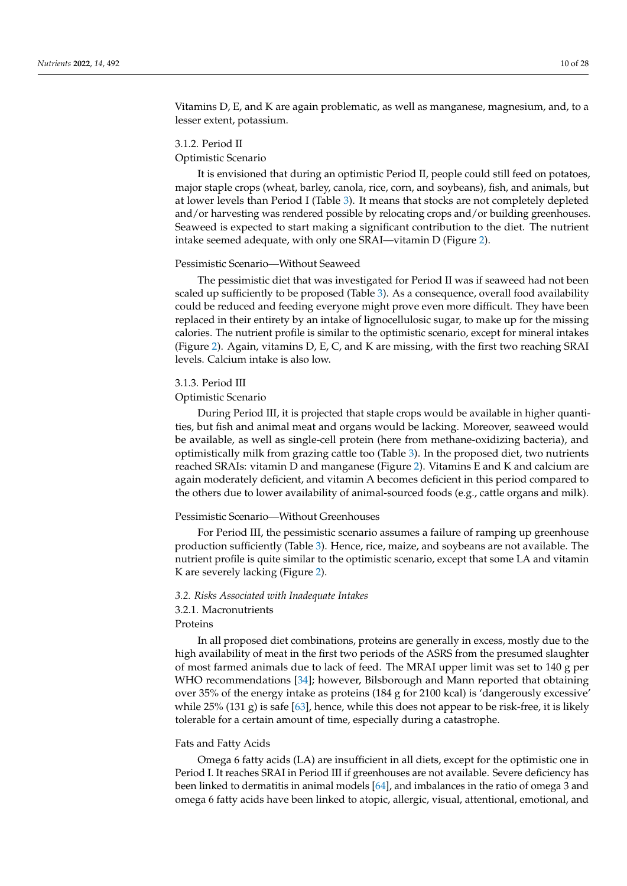Vitamins D, E, and K are again problematic, as well as manganese, magnesium, and, to a lesser extent, potassium.

## 3.1.2. Period II

## Optimistic Scenario

It is envisioned that during an optimistic Period II, people could still feed on potatoes, major staple crops (wheat, barley, canola, rice, corn, and soybeans), fish, and animals, but at lower levels than Period I (Table [3\)](#page-7-0). It means that stocks are not completely depleted and/or harvesting was rendered possible by relocating crops and/or building greenhouses. Seaweed is expected to start making a significant contribution to the diet. The nutrient intake seemed adequate, with only one SRAI—vitamin D (Figure [2\)](#page-8-0).

## Pessimistic Scenario—Without Seaweed

The pessimistic diet that was investigated for Period II was if seaweed had not been scaled up sufficiently to be proposed (Table [3\)](#page-7-0). As a consequence, overall food availability could be reduced and feeding everyone might prove even more difficult. They have been replaced in their entirety by an intake of lignocellulosic sugar, to make up for the missing calories. The nutrient profile is similar to the optimistic scenario, except for mineral intakes (Figure [2\)](#page-8-0). Again, vitamins D, E, C, and K are missing, with the first two reaching SRAI levels. Calcium intake is also low.

## 3.1.3. Period III

#### Optimistic Scenario

During Period III, it is projected that staple crops would be available in higher quantities, but fish and animal meat and organs would be lacking. Moreover, seaweed would be available, as well as single-cell protein (here from methane-oxidizing bacteria), and optimistically milk from grazing cattle too (Table [3\)](#page-7-0). In the proposed diet, two nutrients reached SRAIs: vitamin D and manganese (Figure [2\)](#page-8-0). Vitamins E and K and calcium are again moderately deficient, and vitamin A becomes deficient in this period compared to the others due to lower availability of animal-sourced foods (e.g., cattle organs and milk).

## Pessimistic Scenario—Without Greenhouses

For Period III, the pessimistic scenario assumes a failure of ramping up greenhouse production sufficiently (Table [3\)](#page-7-0). Hence, rice, maize, and soybeans are not available. The nutrient profile is quite similar to the optimistic scenario, except that some LA and vitamin K are severely lacking (Figure [2\)](#page-8-0).

## <span id="page-9-0"></span>*3.2. Risks Associated with Inadequate Intakes*

## 3.2.1. Macronutrients

## Proteins

In all proposed diet combinations, proteins are generally in excess, mostly due to the high availability of meat in the first two periods of the ASRS from the presumed slaughter of most farmed animals due to lack of feed. The MRAI upper limit was set to 140 g per WHO recommendations [\[34\]](#page-24-1); however, Bilsborough and Mann reported that obtaining over 35% of the energy intake as proteins (184 g for 2100 kcal) is 'dangerously excessive' while  $25\%$  (131 g) is safe [\[63\]](#page-25-4), hence, while this does not appear to be risk-free, it is likely tolerable for a certain amount of time, especially during a catastrophe.

## Fats and Fatty Acids

Omega 6 fatty acids (LA) are insufficient in all diets, except for the optimistic one in Period I. It reaches SRAI in Period III if greenhouses are not available. Severe deficiency has been linked to dermatitis in animal models [\[64\]](#page-25-5), and imbalances in the ratio of omega 3 and omega 6 fatty acids have been linked to atopic, allergic, visual, attentional, emotional, and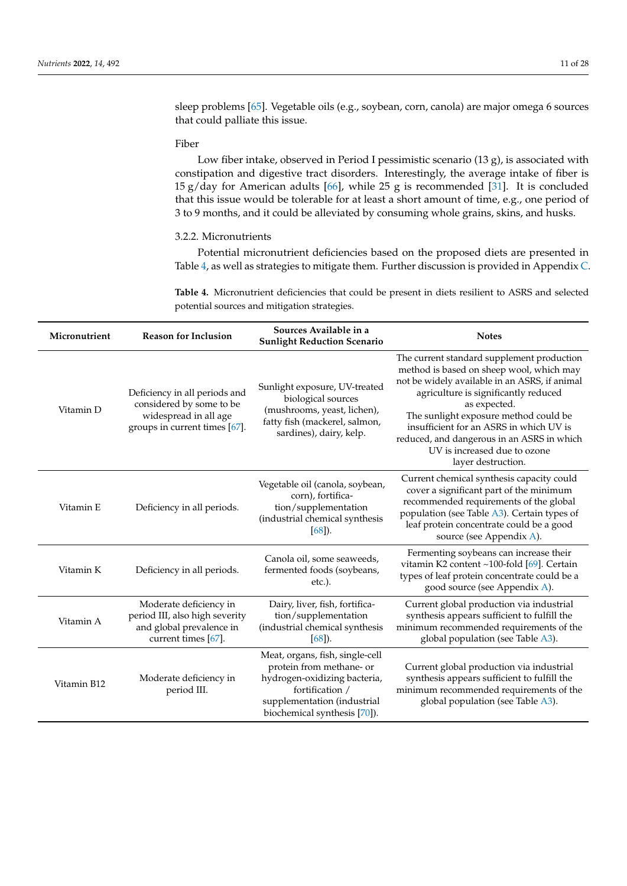sleep problems [\[65\]](#page-25-6). Vegetable oils (e.g., soybean, corn, canola) are major omega 6 sources that could palliate this issue.

## Fiber

Low fiber intake, observed in Period I pessimistic scenario (13 g), is associated with constipation and digestive tract disorders. Interestingly, the average intake of fiber is 15 g/day for American adults [\[66\]](#page-25-7), while 25 g is recommended [\[31\]](#page-23-22). It is concluded that this issue would be tolerable for at least a short amount of time, e.g., one period of 3 to 9 months, and it could be alleviated by consuming whole grains, skins, and husks.

## <span id="page-10-1"></span>3.2.2. Micronutrients

Potential micronutrient deficiencies based on the proposed diets are presented in Table [4,](#page-10-0) as well as strategies to mitigate them. Further discussion is provided in Appendix [C.](#page-20-0)

<span id="page-10-0"></span>**Table 4.** Micronutrient deficiencies that could be present in diets resilient to ASRS and selected potential sources and mitigation strategies.

| Micronutrient | <b>Reason for Inclusion</b>                                                                                         | Sources Available in a<br><b>Sunlight Reduction Scenario</b>                                                                                                                  | <b>Notes</b>                                                                                                                                                                                                                                                                                                                                                                            |
|---------------|---------------------------------------------------------------------------------------------------------------------|-------------------------------------------------------------------------------------------------------------------------------------------------------------------------------|-----------------------------------------------------------------------------------------------------------------------------------------------------------------------------------------------------------------------------------------------------------------------------------------------------------------------------------------------------------------------------------------|
| Vitamin D     | Deficiency in all periods and<br>considered by some to be<br>widespread in all age<br>groups in current times [67]. | Sunlight exposure, UV-treated<br>biological sources<br>(mushrooms, yeast, lichen),<br>fatty fish (mackerel, salmon,<br>sardines), dairy, kelp.                                | The current standard supplement production<br>method is based on sheep wool, which may<br>not be widely available in an ASRS, if animal<br>agriculture is significantly reduced<br>as expected.<br>The sunlight exposure method could be<br>insufficient for an ASRS in which UV is<br>reduced, and dangerous in an ASRS in which<br>UV is increased due to ozone<br>layer destruction. |
| Vitamin E     | Deficiency in all periods.                                                                                          | Vegetable oil (canola, soybean,<br>corn), fortifica-<br>tion/supplementation<br>(industrial chemical synthesis<br>$[68]$ ).                                                   | Current chemical synthesis capacity could<br>cover a significant part of the minimum<br>recommended requirements of the global<br>population (see Table A3). Certain types of<br>leaf protein concentrate could be a good<br>source (see Appendix A).                                                                                                                                   |
| Vitamin K     | Deficiency in all periods.                                                                                          | Canola oil, some seaweeds,<br>fermented foods (soybeans,<br>etc.).                                                                                                            | Fermenting soybeans can increase their<br>vitamin K2 content ~100-fold [69]. Certain<br>types of leaf protein concentrate could be a<br>good source (see Appendix A).                                                                                                                                                                                                                   |
| Vitamin A     | Moderate deficiency in<br>period III, also high severity<br>and global prevalence in<br>current times [67].         | Dairy, liver, fish, fortifica-<br>tion/supplementation<br>(industrial chemical synthesis<br>$[68]$ ).                                                                         | Current global production via industrial<br>synthesis appears sufficient to fulfill the<br>minimum recommended requirements of the<br>global population (see Table A3).                                                                                                                                                                                                                 |
| Vitamin B12   | Moderate deficiency in<br>period III.                                                                               | Meat, organs, fish, single-cell<br>protein from methane- or<br>hydrogen-oxidizing bacteria,<br>fortification /<br>supplementation (industrial<br>biochemical synthesis [70]). | Current global production via industrial<br>synthesis appears sufficient to fulfill the<br>minimum recommended requirements of the<br>global population (see Table A3).                                                                                                                                                                                                                 |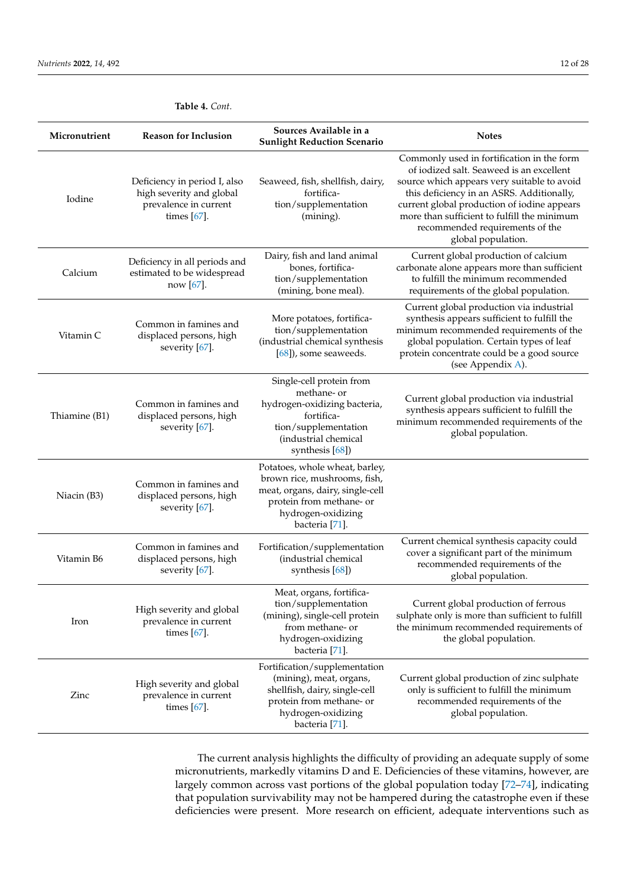| Micronutrient | <b>Reason for Inclusion</b>                                                                         | Sources Available in a<br><b>Sunlight Reduction Scenario</b>                                                                                                           | <b>Notes</b>                                                                                                                                                                                                                                                                                                                              |
|---------------|-----------------------------------------------------------------------------------------------------|------------------------------------------------------------------------------------------------------------------------------------------------------------------------|-------------------------------------------------------------------------------------------------------------------------------------------------------------------------------------------------------------------------------------------------------------------------------------------------------------------------------------------|
| Iodine        | Deficiency in period I, also<br>high severity and global<br>prevalence in current<br>times $[67]$ . | Seaweed, fish, shellfish, dairy,<br>fortifica-<br>tion/supplementation<br>(mining).                                                                                    | Commonly used in fortification in the form<br>of iodized salt. Seaweed is an excellent<br>source which appears very suitable to avoid<br>this deficiency in an ASRS. Additionally,<br>current global production of iodine appears<br>more than sufficient to fulfill the minimum<br>recommended requirements of the<br>global population. |
| Calcium       | Deficiency in all periods and<br>estimated to be widespread<br>now [67].                            | Dairy, fish and land animal<br>bones, fortifica-<br>tion/supplementation<br>(mining, bone meal).                                                                       | Current global production of calcium<br>carbonate alone appears more than sufficient<br>to fulfill the minimum recommended<br>requirements of the global population.                                                                                                                                                                      |
| Vitamin C     | Common in famines and<br>displaced persons, high<br>severity [67].                                  | More potatoes, fortifica-<br>tion/supplementation<br>(industrial chemical synthesis<br>$[68]$ , some seaweeds.                                                         | Current global production via industrial<br>synthesis appears sufficient to fulfill the<br>minimum recommended requirements of the<br>global population. Certain types of leaf<br>protein concentrate could be a good source<br>(see Appendix A).                                                                                         |
| Thiamine (B1) | Common in famines and<br>displaced persons, high<br>severity [67].                                  | Single-cell protein from<br>methane- or<br>hydrogen-oxidizing bacteria,<br>fortifica-<br>tion/supplementation<br>(industrial chemical<br>synthesis $[68]$              | Current global production via industrial<br>synthesis appears sufficient to fulfill the<br>minimum recommended requirements of the<br>global population.                                                                                                                                                                                  |
| Niacin (B3)   | Common in famines and<br>displaced persons, high<br>severity [67].                                  | Potatoes, whole wheat, barley,<br>brown rice, mushrooms, fish,<br>meat, organs, dairy, single-cell<br>protein from methane- or<br>hydrogen-oxidizing<br>bacteria [71]. |                                                                                                                                                                                                                                                                                                                                           |
| Vitamin B6    | Common in famines and<br>displaced persons, high<br>severity $[67]$ .                               | Fortification/supplementation<br>(industrial chemical<br>synthesis $[68]$                                                                                              | Current chemical synthesis capacity could<br>cover a significant part of the minimum<br>recommended requirements of the<br>global population.                                                                                                                                                                                             |
| Iron          | High severity and global<br>prevalence in current<br>times $[67]$ .                                 | Meat, organs, fortifica-<br>tion/supplementation<br>(mining), single-cell protein<br>from methane- or<br>hydrogen-oxidizing<br>bacteria [71].                          | Current global production of ferrous<br>sulphate only is more than sufficient to fulfill<br>the minimum recommended requirements of<br>the global population.                                                                                                                                                                             |
| Zinc          | High severity and global<br>prevalence in current<br>times $[67]$ .                                 | Fortification/supplementation<br>(mining), meat, organs,<br>shellfish, dairy, single-cell<br>protein from methane- or<br>hydrogen-oxidizing<br>bacteria [71].          | Current global production of zinc sulphate<br>only is sufficient to fulfill the minimum<br>recommended requirements of the<br>global population.                                                                                                                                                                                          |

**Table 4.** *Cont.*

The current analysis highlights the difficulty of providing an adequate supply of some micronutrients, markedly vitamins D and E. Deficiencies of these vitamins, however, are largely common across vast portions of the global population today [\[72–](#page-25-13)[74\]](#page-25-14), indicating that population survivability may not be hampered during the catastrophe even if these deficiencies were present. More research on efficient, adequate interventions such as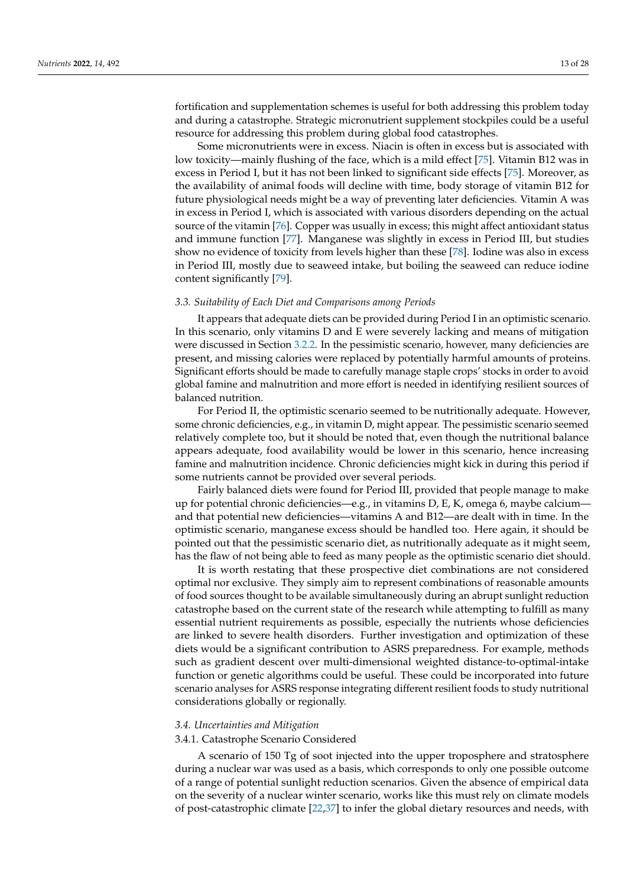fortification and supplementation schemes is useful for both addressing this problem today and during a catastrophe. Strategic micronutrient supplement stockpiles could be a useful resource for addressing this problem during global food catastrophes.

Some micronutrients were in excess. Niacin is often in excess but is associated with low toxicity—mainly flushing of the face, which is a mild effect [\[75\]](#page-25-15). Vitamin B12 was in excess in Period I, but it has not been linked to significant side effects [\[75\]](#page-25-15). Moreover, as the availability of animal foods will decline with time, body storage of vitamin B12 for future physiological needs might be a way of preventing later deficiencies. Vitamin A was in excess in Period I, which is associated with various disorders depending on the actual source of the vitamin [\[76\]](#page-25-16). Copper was usually in excess; this might affect antioxidant status and immune function [\[77\]](#page-25-17). Manganese was slightly in excess in Period III, but studies show no evidence of toxicity from levels higher than these [\[78\]](#page-25-18). Iodine was also in excess in Period III, mostly due to seaweed intake, but boiling the seaweed can reduce iodine content significantly [\[79\]](#page-25-19).

## *3.3. Suitability of Each Diet and Comparisons among Periods*

It appears that adequate diets can be provided during Period I in an optimistic scenario. In this scenario, only vitamins D and E were severely lacking and means of mitigation were discussed in Section [3.2.2.](#page-10-1) In the pessimistic scenario, however, many deficiencies are present, and missing calories were replaced by potentially harmful amounts of proteins. Significant efforts should be made to carefully manage staple crops' stocks in order to avoid global famine and malnutrition and more effort is needed in identifying resilient sources of balanced nutrition.

For Period II, the optimistic scenario seemed to be nutritionally adequate. However, some chronic deficiencies, e.g., in vitamin D, might appear. The pessimistic scenario seemed relatively complete too, but it should be noted that, even though the nutritional balance appears adequate, food availability would be lower in this scenario, hence increasing famine and malnutrition incidence. Chronic deficiencies might kick in during this period if some nutrients cannot be provided over several periods.

Fairly balanced diets were found for Period III, provided that people manage to make up for potential chronic deficiencies—e.g., in vitamins D, E, K, omega 6, maybe calcium and that potential new deficiencies—vitamins A and B12—are dealt with in time. In the optimistic scenario, manganese excess should be handled too. Here again, it should be pointed out that the pessimistic scenario diet, as nutritionally adequate as it might seem, has the flaw of not being able to feed as many people as the optimistic scenario diet should.

It is worth restating that these prospective diet combinations are not considered optimal nor exclusive. They simply aim to represent combinations of reasonable amounts of food sources thought to be available simultaneously during an abrupt sunlight reduction catastrophe based on the current state of the research while attempting to fulfill as many essential nutrient requirements as possible, especially the nutrients whose deficiencies are linked to severe health disorders. Further investigation and optimization of these diets would be a significant contribution to ASRS preparedness. For example, methods such as gradient descent over multi-dimensional weighted distance-to-optimal-intake function or genetic algorithms could be useful. These could be incorporated into future scenario analyses for ASRS response integrating different resilient foods to study nutritional considerations globally or regionally.

## *3.4. Uncertainties and Mitigation*

## 3.4.1. Catastrophe Scenario Considered

A scenario of 150 Tg of soot injected into the upper troposphere and stratosphere during a nuclear war was used as a basis, which corresponds to only one possible outcome of a range of potential sunlight reduction scenarios. Given the absence of empirical data on the severity of a nuclear winter scenario, works like this must rely on climate models of post-catastrophic climate [\[22](#page-23-15)[,37\]](#page-24-4) to infer the global dietary resources and needs, with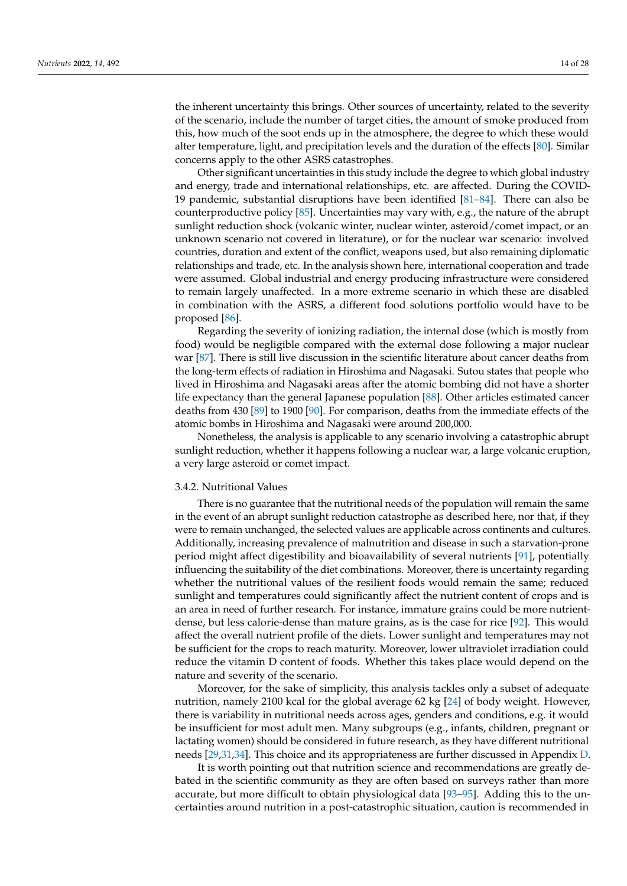the inherent uncertainty this brings. Other sources of uncertainty, related to the severity of the scenario, include the number of target cities, the amount of smoke produced from this, how much of the soot ends up in the atmosphere, the degree to which these would alter temperature, light, and precipitation levels and the duration of the effects [\[80\]](#page-25-20). Similar concerns apply to the other ASRS catastrophes.

Other significant uncertainties in this study include the degree to which global industry and energy, trade and international relationships, etc. are affected. During the COVID-19 pandemic, substantial disruptions have been identified  $[81–84]$  $[81–84]$ . There can also be counterproductive policy [\[85\]](#page-25-23). Uncertainties may vary with, e.g., the nature of the abrupt sunlight reduction shock (volcanic winter, nuclear winter, asteroid/comet impact, or an unknown scenario not covered in literature), or for the nuclear war scenario: involved countries, duration and extent of the conflict, weapons used, but also remaining diplomatic relationships and trade, etc. In the analysis shown here, international cooperation and trade were assumed. Global industrial and energy producing infrastructure were considered to remain largely unaffected. In a more extreme scenario in which these are disabled in combination with the ASRS, a different food solutions portfolio would have to be proposed [\[86\]](#page-25-24).

Regarding the severity of ionizing radiation, the internal dose (which is mostly from food) would be negligible compared with the external dose following a major nuclear war [\[87\]](#page-25-25). There is still live discussion in the scientific literature about cancer deaths from the long-term effects of radiation in Hiroshima and Nagasaki. Sutou states that people who lived in Hiroshima and Nagasaki areas after the atomic bombing did not have a shorter life expectancy than the general Japanese population [\[88\]](#page-26-0). Other articles estimated cancer deaths from 430 [\[89\]](#page-26-1) to 1900 [\[90\]](#page-26-2). For comparison, deaths from the immediate effects of the atomic bombs in Hiroshima and Nagasaki were around 200,000.

Nonetheless, the analysis is applicable to any scenario involving a catastrophic abrupt sunlight reduction, whether it happens following a nuclear war, a large volcanic eruption, a very large asteroid or comet impact.

## 3.4.2. Nutritional Values

There is no guarantee that the nutritional needs of the population will remain the same in the event of an abrupt sunlight reduction catastrophe as described here, nor that, if they were to remain unchanged, the selected values are applicable across continents and cultures. Additionally, increasing prevalence of malnutrition and disease in such a starvation-prone period might affect digestibility and bioavailability of several nutrients [\[91\]](#page-26-3), potentially influencing the suitability of the diet combinations. Moreover, there is uncertainty regarding whether the nutritional values of the resilient foods would remain the same; reduced sunlight and temperatures could significantly affect the nutrient content of crops and is an area in need of further research. For instance, immature grains could be more nutrientdense, but less calorie-dense than mature grains, as is the case for rice [\[92\]](#page-26-4). This would affect the overall nutrient profile of the diets. Lower sunlight and temperatures may not be sufficient for the crops to reach maturity. Moreover, lower ultraviolet irradiation could reduce the vitamin D content of foods. Whether this takes place would depend on the nature and severity of the scenario.

Moreover, for the sake of simplicity, this analysis tackles only a subset of adequate nutrition, namely 2100 kcal for the global average 62 kg [\[24\]](#page-23-17) of body weight. However, there is variability in nutritional needs across ages, genders and conditions, e.g. it would be insufficient for most adult men. Many subgroups (e.g., infants, children, pregnant or lactating women) should be considered in future research, as they have different nutritional needs [\[29,](#page-23-20)[31,](#page-23-22)[34\]](#page-24-1). This choice and its appropriateness are further discussed in Appendix [D.](#page-22-4)

It is worth pointing out that nutrition science and recommendations are greatly debated in the scientific community as they are often based on surveys rather than more accurate, but more difficult to obtain physiological data [\[93](#page-26-5)[–95\]](#page-26-6). Adding this to the uncertainties around nutrition in a post-catastrophic situation, caution is recommended in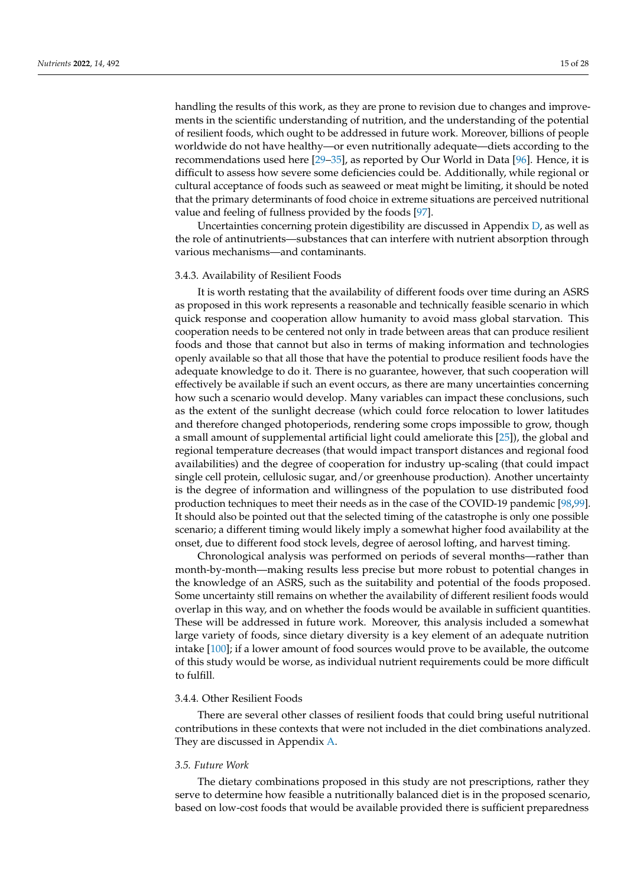handling the results of this work, as they are prone to revision due to changes and improvements in the scientific understanding of nutrition, and the understanding of the potential of resilient foods, which ought to be addressed in future work. Moreover, billions of people worldwide do not have healthy—or even nutritionally adequate—diets according to the recommendations used here [\[29](#page-23-20)[–35\]](#page-24-2), as reported by Our World in Data [\[96\]](#page-26-7). Hence, it is difficult to assess how severe some deficiencies could be. Additionally, while regional or cultural acceptance of foods such as seaweed or meat might be limiting, it should be noted that the primary determinants of food choice in extreme situations are perceived nutritional value and feeling of fullness provided by the foods [\[97\]](#page-26-8).

Uncertainties concerning protein digestibility are discussed in Appendix [D,](#page-22-4) as well as the role of antinutrients—substances that can interfere with nutrient absorption through various mechanisms—and contaminants.

## 3.4.3. Availability of Resilient Foods

It is worth restating that the availability of different foods over time during an ASRS as proposed in this work represents a reasonable and technically feasible scenario in which quick response and cooperation allow humanity to avoid mass global starvation. This cooperation needs to be centered not only in trade between areas that can produce resilient foods and those that cannot but also in terms of making information and technologies openly available so that all those that have the potential to produce resilient foods have the adequate knowledge to do it. There is no guarantee, however, that such cooperation will effectively be available if such an event occurs, as there are many uncertainties concerning how such a scenario would develop. Many variables can impact these conclusions, such as the extent of the sunlight decrease (which could force relocation to lower latitudes and therefore changed photoperiods, rendering some crops impossible to grow, though a small amount of supplemental artificial light could ameliorate this [\[25\]](#page-23-18)), the global and regional temperature decreases (that would impact transport distances and regional food availabilities) and the degree of cooperation for industry up-scaling (that could impact single cell protein, cellulosic sugar, and/or greenhouse production). Another uncertainty is the degree of information and willingness of the population to use distributed food production techniques to meet their needs as in the case of the COVID-19 pandemic [\[98](#page-26-9)[,99\]](#page-26-10). It should also be pointed out that the selected timing of the catastrophe is only one possible scenario; a different timing would likely imply a somewhat higher food availability at the onset, due to different food stock levels, degree of aerosol lofting, and harvest timing.

Chronological analysis was performed on periods of several months—rather than month-by-month—making results less precise but more robust to potential changes in the knowledge of an ASRS, such as the suitability and potential of the foods proposed. Some uncertainty still remains on whether the availability of different resilient foods would overlap in this way, and on whether the foods would be available in sufficient quantities. These will be addressed in future work. Moreover, this analysis included a somewhat large variety of foods, since dietary diversity is a key element of an adequate nutrition intake [\[100\]](#page-26-11); if a lower amount of food sources would prove to be available, the outcome of this study would be worse, as individual nutrient requirements could be more difficult to fulfill.

## 3.4.4. Other Resilient Foods

There are several other classes of resilient foods that could bring useful nutritional contributions in these contexts that were not included in the diet combinations analyzed. They are discussed in Appendix [A.](#page-16-0)

## *3.5. Future Work*

The dietary combinations proposed in this study are not prescriptions, rather they serve to determine how feasible a nutritionally balanced diet is in the proposed scenario, based on low-cost foods that would be available provided there is sufficient preparedness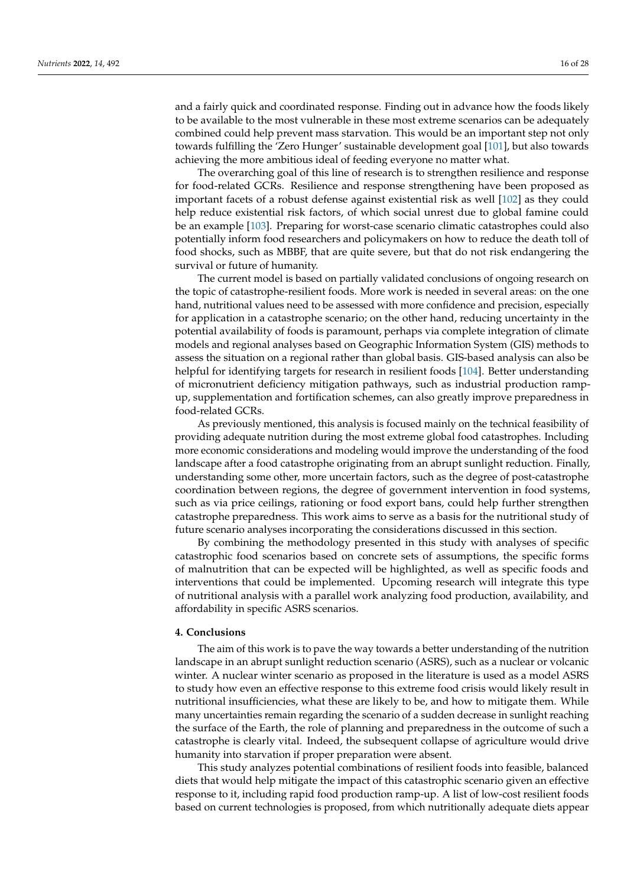and a fairly quick and coordinated response. Finding out in advance how the foods likely to be available to the most vulnerable in these most extreme scenarios can be adequately combined could help prevent mass starvation. This would be an important step not only towards fulfilling the 'Zero Hunger' sustainable development goal [\[101\]](#page-26-12), but also towards achieving the more ambitious ideal of feeding everyone no matter what.

The overarching goal of this line of research is to strengthen resilience and response for food-related GCRs. Resilience and response strengthening have been proposed as important facets of a robust defense against existential risk as well [\[102\]](#page-26-13) as they could help reduce existential risk factors, of which social unrest due to global famine could be an example [\[103\]](#page-26-14). Preparing for worst-case scenario climatic catastrophes could also potentially inform food researchers and policymakers on how to reduce the death toll of food shocks, such as MBBF, that are quite severe, but that do not risk endangering the survival or future of humanity.

The current model is based on partially validated conclusions of ongoing research on the topic of catastrophe-resilient foods. More work is needed in several areas: on the one hand, nutritional values need to be assessed with more confidence and precision, especially for application in a catastrophe scenario; on the other hand, reducing uncertainty in the potential availability of foods is paramount, perhaps via complete integration of climate models and regional analyses based on Geographic Information System (GIS) methods to assess the situation on a regional rather than global basis. GIS-based analysis can also be helpful for identifying targets for research in resilient foods [\[104\]](#page-26-15). Better understanding of micronutrient deficiency mitigation pathways, such as industrial production rampup, supplementation and fortification schemes, can also greatly improve preparedness in food-related GCRs.

As previously mentioned, this analysis is focused mainly on the technical feasibility of providing adequate nutrition during the most extreme global food catastrophes. Including more economic considerations and modeling would improve the understanding of the food landscape after a food catastrophe originating from an abrupt sunlight reduction. Finally, understanding some other, more uncertain factors, such as the degree of post-catastrophe coordination between regions, the degree of government intervention in food systems, such as via price ceilings, rationing or food export bans, could help further strengthen catastrophe preparedness. This work aims to serve as a basis for the nutritional study of future scenario analyses incorporating the considerations discussed in this section.

By combining the methodology presented in this study with analyses of specific catastrophic food scenarios based on concrete sets of assumptions, the specific forms of malnutrition that can be expected will be highlighted, as well as specific foods and interventions that could be implemented. Upcoming research will integrate this type of nutritional analysis with a parallel work analyzing food production, availability, and affordability in specific ASRS scenarios.

## **4. Conclusions**

The aim of this work is to pave the way towards a better understanding of the nutrition landscape in an abrupt sunlight reduction scenario (ASRS), such as a nuclear or volcanic winter. A nuclear winter scenario as proposed in the literature is used as a model ASRS to study how even an effective response to this extreme food crisis would likely result in nutritional insufficiencies, what these are likely to be, and how to mitigate them. While many uncertainties remain regarding the scenario of a sudden decrease in sunlight reaching the surface of the Earth, the role of planning and preparedness in the outcome of such a catastrophe is clearly vital. Indeed, the subsequent collapse of agriculture would drive humanity into starvation if proper preparation were absent.

This study analyzes potential combinations of resilient foods into feasible, balanced diets that would help mitigate the impact of this catastrophic scenario given an effective response to it, including rapid food production ramp-up. A list of low-cost resilient foods based on current technologies is proposed, from which nutritionally adequate diets appear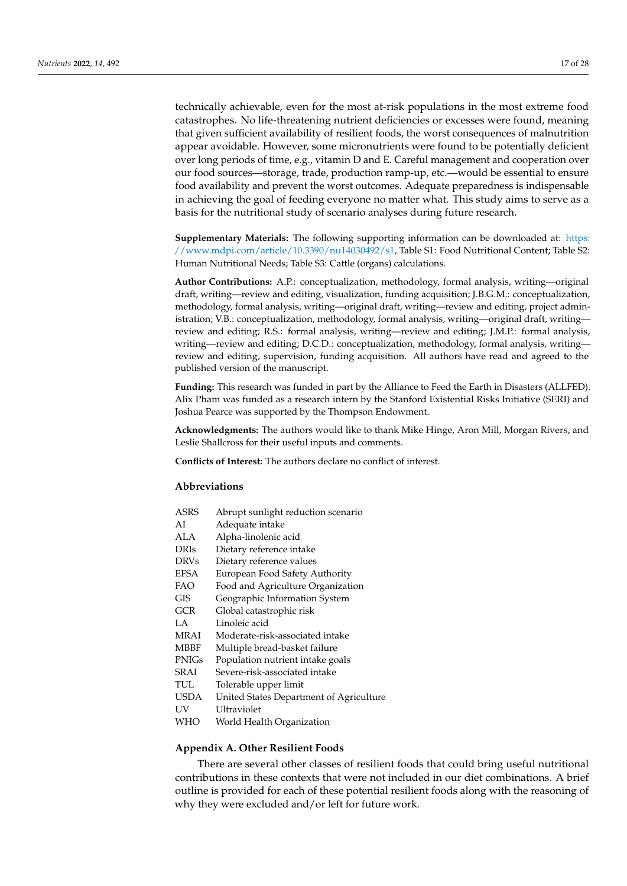technically achievable, even for the most at-risk populations in the most extreme food catastrophes. No life-threatening nutrient deficiencies or excesses were found, meaning that given sufficient availability of resilient foods, the worst consequences of malnutrition appear avoidable. However, some micronutrients were found to be potentially deficient over long periods of time, e.g., vitamin D and E. Careful management and cooperation over our food sources—storage, trade, production ramp-up, etc.—would be essential to ensure food availability and prevent the worst outcomes. Adequate preparedness is indispensable in achieving the goal of feeding everyone no matter what. This study aims to serve as a basis for the nutritional study of scenario analyses during future research.

**Supplementary Materials:** The following supporting information can be downloaded at: [https:](https://www.mdpi.com/article/10.3390/nu14030492/s1) [//www.mdpi.com/article/10.3390/nu14030492/s1,](https://www.mdpi.com/article/10.3390/nu14030492/s1) Table S1: Food Nutritional Content; Table S2: Human Nutritional Needs; Table S3: Cattle (organs) calculations.

**Author Contributions:** A.P.: conceptualization, methodology, formal analysis, writing—original draft, writing—review and editing, visualization, funding acquisition; J.B.G.M.: conceptualization, methodology, formal analysis, writing—original draft, writing—review and editing, project administration; V.B.: conceptualization, methodology, formal analysis, writing—original draft, writing review and editing; R.S.: formal analysis, writing—review and editing; J.M.P.: formal analysis, writing—review and editing; D.C.D.: conceptualization, methodology, formal analysis, writing review and editing, supervision, funding acquisition. All authors have read and agreed to the published version of the manuscript.

**Funding:** This research was funded in part by the Alliance to Feed the Earth in Disasters (ALLFED). Alix Pham was funded as a research intern by the Stanford Existential Risks Initiative (SERI) and Joshua Pearce was supported by the Thompson Endowment.

**Acknowledgments:** The authors would like to thank Mike Hinge, Aron Mill, Morgan Rivers, and Leslie Shallcross for their useful inputs and comments.

**Conflicts of Interest:** The authors declare no conflict of interest.

## **Abbreviations**

| ASRS         | Abrupt sunlight reduction scenario      |
|--------------|-----------------------------------------|
| AI           | Adequate intake                         |
| ALA          | Alpha-linolenic acid                    |
| <b>DRIs</b>  | Dietary reference intake                |
| <b>DRVs</b>  | Dietary reference values                |
| EFSA         | European Food Safety Authority          |
| FAO          | Food and Agriculture Organization       |
| GIS          | Geographic Information System           |
| GCR          | Global catastrophic risk                |
| LA.          | Linoleic acid                           |
| MRAI         | Moderate-risk-associated intake         |
| MBBF         | Multiple bread-basket failure           |
| <b>PNIGs</b> | Population nutrient intake goals        |
| SRAI         | Severe-risk-associated intake           |
| TUL          | Tolerable upper limit                   |
| USDA         | United States Department of Agriculture |
| UV           | Ultraviolet                             |
| WHO          | World Health Organization               |
|              |                                         |

## <span id="page-16-0"></span>**Appendix A. Other Resilient Foods**

There are several other classes of resilient foods that could bring useful nutritional contributions in these contexts that were not included in our diet combinations. A brief outline is provided for each of these potential resilient foods along with the reasoning of why they were excluded and/or left for future work.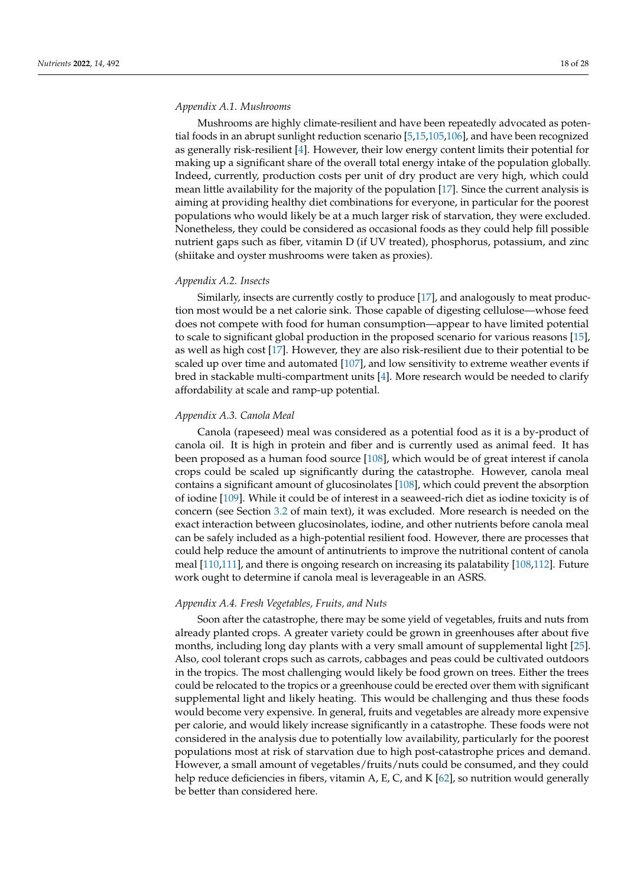## *Appendix A.1. Mushrooms*

Mushrooms are highly climate-resilient and have been repeatedly advocated as potential foods in an abrupt sunlight reduction scenario [\[5](#page-22-2)[,15](#page-23-8)[,105,](#page-26-16)[106\]](#page-26-17), and have been recognized as generally risk-resilient [\[4\]](#page-22-1). However, their low energy content limits their potential for making up a significant share of the overall total energy intake of the population globally. Indeed, currently, production costs per unit of dry product are very high, which could mean little availability for the majority of the population [\[17\]](#page-23-10). Since the current analysis is aiming at providing healthy diet combinations for everyone, in particular for the poorest populations who would likely be at a much larger risk of starvation, they were excluded. Nonetheless, they could be considered as occasional foods as they could help fill possible nutrient gaps such as fiber, vitamin D (if UV treated), phosphorus, potassium, and zinc (shiitake and oyster mushrooms were taken as proxies).

## *Appendix A.2. Insects*

Similarly, insects are currently costly to produce [\[17\]](#page-23-10), and analogously to meat production most would be a net calorie sink. Those capable of digesting cellulose—whose feed does not compete with food for human consumption—appear to have limited potential to scale to significant global production in the proposed scenario for various reasons [\[15\]](#page-23-8), as well as high cost [\[17\]](#page-23-10). However, they are also risk-resilient due to their potential to be scaled up over time and automated [\[107\]](#page-26-18), and low sensitivity to extreme weather events if bred in stackable multi-compartment units [\[4\]](#page-22-1). More research would be needed to clarify affordability at scale and ramp-up potential.

## *Appendix A.3. Canola Meal*

Canola (rapeseed) meal was considered as a potential food as it is a by-product of canola oil. It is high in protein and fiber and is currently used as animal feed. It has been proposed as a human food source [\[108\]](#page-26-19), which would be of great interest if canola crops could be scaled up significantly during the catastrophe. However, canola meal contains a significant amount of glucosinolates [\[108\]](#page-26-19), which could prevent the absorption of iodine [\[109\]](#page-26-20). While it could be of interest in a seaweed-rich diet as iodine toxicity is of concern (see Section [3.2](#page-9-0) of main text), it was excluded. More research is needed on the exact interaction between glucosinolates, iodine, and other nutrients before canola meal can be safely included as a high-potential resilient food. However, there are processes that could help reduce the amount of antinutrients to improve the nutritional content of canola meal [\[110](#page-26-21)[,111\]](#page-26-22), and there is ongoing research on increasing its palatability [\[108](#page-26-19)[,112\]](#page-26-23). Future work ought to determine if canola meal is leverageable in an ASRS.

## *Appendix A.4. Fresh Vegetables, Fruits, and Nuts*

Soon after the catastrophe, there may be some yield of vegetables, fruits and nuts from already planted crops. A greater variety could be grown in greenhouses after about five months, including long day plants with a very small amount of supplemental light [\[25\]](#page-23-18). Also, cool tolerant crops such as carrots, cabbages and peas could be cultivated outdoors in the tropics. The most challenging would likely be food grown on trees. Either the trees could be relocated to the tropics or a greenhouse could be erected over them with significant supplemental light and likely heating. This would be challenging and thus these foods would become very expensive. In general, fruits and vegetables are already more expensive per calorie, and would likely increase significantly in a catastrophe. These foods were not considered in the analysis due to potentially low availability, particularly for the poorest populations most at risk of starvation due to high post-catastrophe prices and demand. However, a small amount of vegetables/fruits/nuts could be consumed, and they could help reduce deficiencies in fibers, vitamin A, E, C, and K [\[62\]](#page-25-3), so nutrition would generally be better than considered here.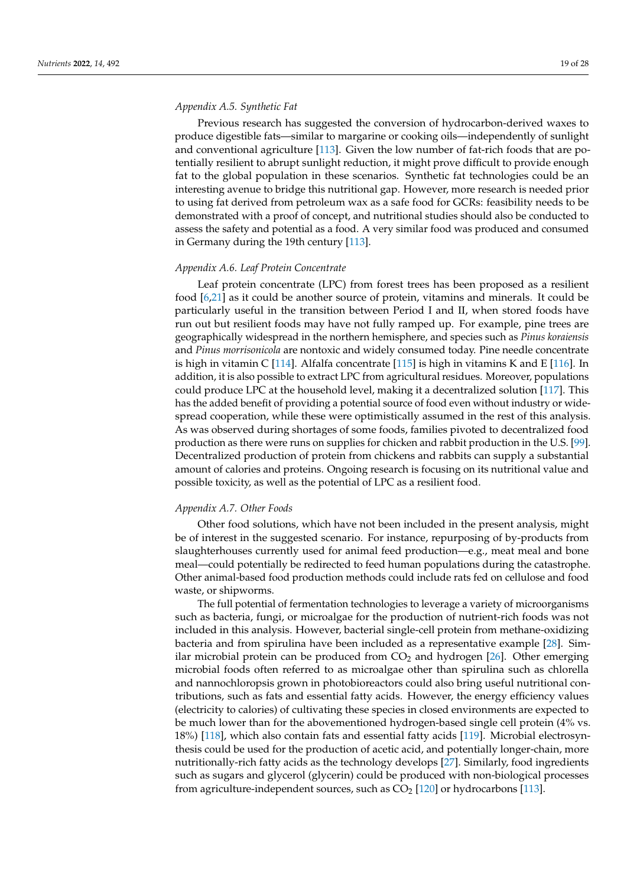## *Appendix A.5. Synthetic Fat*

Previous research has suggested the conversion of hydrocarbon-derived waxes to produce digestible fats—similar to margarine or cooking oils—independently of sunlight and conventional agriculture [\[113\]](#page-26-24). Given the low number of fat-rich foods that are potentially resilient to abrupt sunlight reduction, it might prove difficult to provide enough fat to the global population in these scenarios. Synthetic fat technologies could be an interesting avenue to bridge this nutritional gap. However, more research is needed prior to using fat derived from petroleum wax as a safe food for GCRs: feasibility needs to be demonstrated with a proof of concept, and nutritional studies should also be conducted to assess the safety and potential as a food. A very similar food was produced and consumed in Germany during the 19th century [\[113\]](#page-26-24).

## *Appendix A.6. Leaf Protein Concentrate*

Leaf protein concentrate (LPC) from forest trees has been proposed as a resilient food [\[6,](#page-22-3)[21\]](#page-23-14) as it could be another source of protein, vitamins and minerals. It could be particularly useful in the transition between Period I and II, when stored foods have run out but resilient foods may have not fully ramped up. For example, pine trees are geographically widespread in the northern hemisphere, and species such as *Pinus koraiensis* and *Pinus morrisonicola* are nontoxic and widely consumed today. Pine needle concentrate is high in vitamin C [\[114\]](#page-26-25). Alfalfa concentrate [\[115\]](#page-26-26) is high in vitamins K and E [\[116\]](#page-26-27). In addition, it is also possible to extract LPC from agricultural residues. Moreover, populations could produce LPC at the household level, making it a decentralized solution [\[117\]](#page-26-28). This has the added benefit of providing a potential source of food even without industry or widespread cooperation, while these were optimistically assumed in the rest of this analysis. As was observed during shortages of some foods, families pivoted to decentralized food production as there were runs on supplies for chicken and rabbit production in the U.S. [\[99\]](#page-26-10). Decentralized production of protein from chickens and rabbits can supply a substantial amount of calories and proteins. Ongoing research is focusing on its nutritional value and possible toxicity, as well as the potential of LPC as a resilient food.

## *Appendix A.7. Other Foods*

Other food solutions, which have not been included in the present analysis, might be of interest in the suggested scenario. For instance, repurposing of by-products from slaughterhouses currently used for animal feed production—e.g., meat meal and bone meal—could potentially be redirected to feed human populations during the catastrophe. Other animal-based food production methods could include rats fed on cellulose and food waste, or shipworms.

The full potential of fermentation technologies to leverage a variety of microorganisms such as bacteria, fungi, or microalgae for the production of nutrient-rich foods was not included in this analysis. However, bacterial single-cell protein from methane-oxidizing bacteria and from spirulina have been included as a representative example [\[28\]](#page-23-19). Similar microbial protein can be produced from  $CO<sub>2</sub>$  and hydrogen [\[26\]](#page-23-24). Other emerging microbial foods often referred to as microalgae other than spirulina such as chlorella and nannochloropsis grown in photobioreactors could also bring useful nutritional contributions, such as fats and essential fatty acids. However, the energy efficiency values (electricity to calories) of cultivating these species in closed environments are expected to be much lower than for the abovementioned hydrogen-based single cell protein (4% vs. 18%) [\[118\]](#page-27-0), which also contain fats and essential fatty acids [\[119\]](#page-27-1). Microbial electrosynthesis could be used for the production of acetic acid, and potentially longer-chain, more nutritionally-rich fatty acids as the technology develops [\[27\]](#page-23-25). Similarly, food ingredients such as sugars and glycerol (glycerin) could be produced with non-biological processes from agriculture-independent sources, such as  $CO<sub>2</sub>$  [\[120\]](#page-27-2) or hydrocarbons [\[113\]](#page-26-24).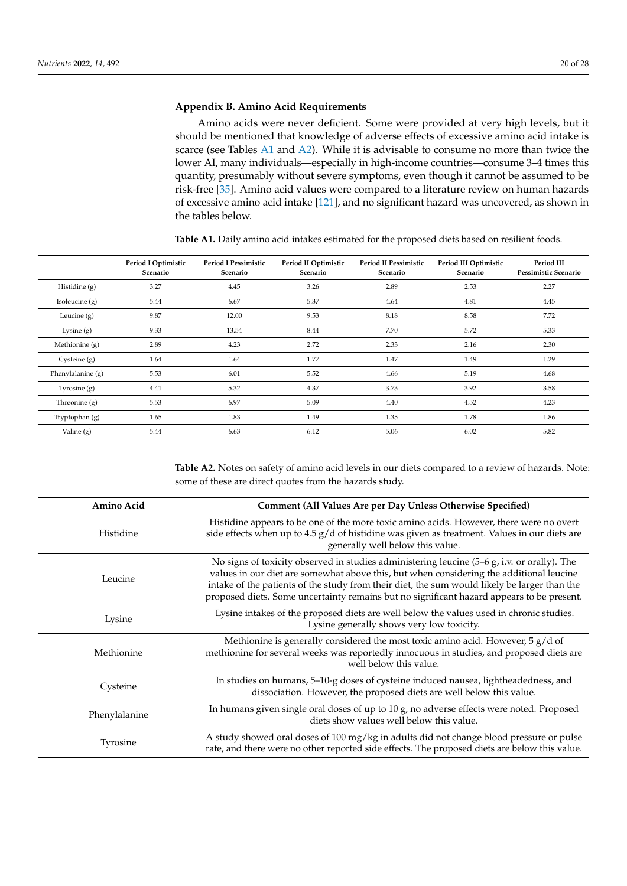## <span id="page-19-0"></span>**Appendix B. Amino Acid Requirements**

Amino acids were never deficient. Some were provided at very high levels, but it should be mentioned that knowledge of adverse effects of excessive amino acid intake is scarce (see Tables [A1](#page-19-1) and [A2\)](#page-19-2). While it is advisable to consume no more than twice the lower AI, many individuals—especially in high-income countries—consume 3–4 times this quantity, presumably without severe symptoms, even though it cannot be assumed to be risk-free [\[35\]](#page-24-2). Amino acid values were compared to a literature review on human hazards of excessive amino acid intake [\[121\]](#page-27-3), and no significant hazard was uncovered, as shown in the tables below.

|                     | Period I Optimistic<br>Scenario | <b>Period I Pessimistic</b><br>Scenario | Period II Optimistic<br>Scenario | <b>Period II Pessimistic</b><br>Scenario | Period III Optimistic<br>Scenario | Period III<br>Pessimistic Scenario |
|---------------------|---------------------------------|-----------------------------------------|----------------------------------|------------------------------------------|-----------------------------------|------------------------------------|
| Histidine (g)       | 3.27                            | 4.45                                    | 3.26                             | 2.89                                     | 2.53                              | 2.27                               |
| Isoleucine $(g)$    | 5.44                            | 6.67                                    | 5.37                             | 4.64                                     | 4.81                              | 4.45                               |
| Leucine $(g)$       | 9.87                            | 12.00                                   | 9.53                             | 8.18                                     | 8.58                              | 7.72                               |
| Lysine $(g)$        | 9.33                            | 13.54                                   | 8.44                             | 7.70                                     | 5.72                              | 5.33                               |
| Methionine (g)      | 2.89                            | 4.23                                    | 2.72                             | 2.33                                     | 2.16                              | 2.30                               |
| Cysteine $(g)$      | 1.64                            | 1.64                                    | 1.77                             | 1.47                                     | 1.49                              | 1.29                               |
| Phenylalanine $(g)$ | 5.53                            | 6.01                                    | 5.52                             | 4.66                                     | 5.19                              | 4.68                               |
| Tyrosine $(g)$      | 4.41                            | 5.32                                    | 4.37                             | 3.73                                     | 3.92                              | 3.58                               |
| Threonine $(g)$     | 5.53                            | 6.97                                    | 5.09                             | 4.40                                     | 4.52                              | 4.23                               |
| Tryptophan (g)      | 1.65                            | 1.83                                    | 1.49                             | 1.35                                     | 1.78                              | 1.86                               |
| Valine $(g)$        | 5.44                            | 6.63                                    | 6.12                             | 5.06                                     | 6.02                              | 5.82                               |

<span id="page-19-1"></span>**Table A1.** Daily amino acid intakes estimated for the proposed diets based on resilient foods.

<span id="page-19-2"></span>**Table A2.** Notes on safety of amino acid levels in our diets compared to a review of hazards. Note: some of these are direct quotes from the hazards study.

| Amino Acid    | Comment (All Values Are per Day Unless Otherwise Specified)                                                                                                                                                                                                                                                                                                                           |
|---------------|---------------------------------------------------------------------------------------------------------------------------------------------------------------------------------------------------------------------------------------------------------------------------------------------------------------------------------------------------------------------------------------|
| Histidine     | Histidine appears to be one of the more toxic amino acids. However, there were no overt<br>side effects when up to $4.5 g/d$ of histidine was given as treatment. Values in our diets are<br>generally well below this value.                                                                                                                                                         |
| Leucine       | No signs of toxicity observed in studies administering leucine $(5-6 g, i.v.$ or orally). The<br>values in our diet are somewhat above this, but when considering the additional leucine<br>intake of the patients of the study from their diet, the sum would likely be larger than the<br>proposed diets. Some uncertainty remains but no significant hazard appears to be present. |
| Lysine        | Lysine intakes of the proposed diets are well below the values used in chronic studies.<br>Lysine generally shows very low toxicity.                                                                                                                                                                                                                                                  |
| Methionine    | Methionine is generally considered the most toxic amino acid. However, $5 g/d$ of<br>methionine for several weeks was reportedly innocuous in studies, and proposed diets are<br>well below this value.                                                                                                                                                                               |
| Cysteine      | In studies on humans, 5-10-g doses of cysteine induced nausea, lightheadedness, and<br>dissociation. However, the proposed diets are well below this value.                                                                                                                                                                                                                           |
| Phenylalanine | In humans given single oral doses of up to 10 g, no adverse effects were noted. Proposed<br>diets show values well below this value.                                                                                                                                                                                                                                                  |
| Tyrosine      | A study showed oral doses of 100 mg/kg in adults did not change blood pressure or pulse<br>rate, and there were no other reported side effects. The proposed diets are below this value.                                                                                                                                                                                              |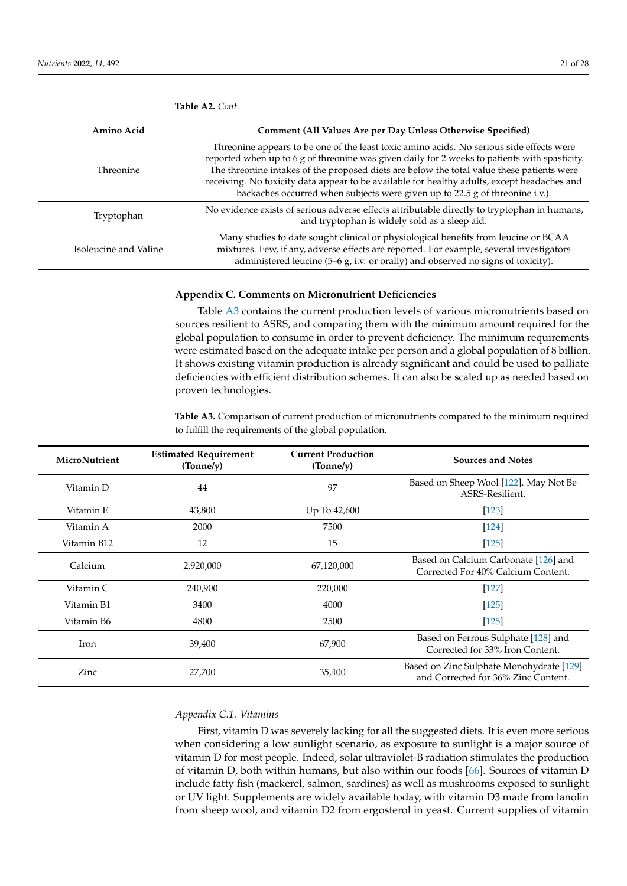| Amino Acid            | Comment (All Values Are per Day Unless Otherwise Specified)                                                                                                                                                                                                                                                                                                                                                                                                           |
|-----------------------|-----------------------------------------------------------------------------------------------------------------------------------------------------------------------------------------------------------------------------------------------------------------------------------------------------------------------------------------------------------------------------------------------------------------------------------------------------------------------|
| Threonine             | Threonine appears to be one of the least toxic amino acids. No serious side effects were<br>reported when up to 6 g of threonine was given daily for 2 weeks to patients with spasticity.<br>The threonine intakes of the proposed diets are below the total value these patients were<br>receiving. No toxicity data appear to be available for healthy adults, except headaches and<br>backaches occurred when subjects were given up to 22.5 g of threonine i.v.). |
| Tryptophan            | No evidence exists of serious adverse effects attributable directly to tryptophan in humans,<br>and tryptophan is widely sold as a sleep aid.                                                                                                                                                                                                                                                                                                                         |
| Isoleucine and Valine | Many studies to date sought clinical or physiological benefits from leucine or BCAA<br>mixtures. Few, if any, adverse effects are reported. For example, several investigators<br>administered leucine $(5-6g, i.v.$ or orally) and observed no signs of toxicity).                                                                                                                                                                                                   |

**Table A2.** *Cont.*

## <span id="page-20-0"></span>**Appendix C. Comments on Micronutrient Deficiencies**

Table [A3](#page-20-1) contains the current production levels of various micronutrients based on sources resilient to ASRS, and comparing them with the minimum amount required for the global population to consume in order to prevent deficiency. The minimum requirements were estimated based on the adequate intake per person and a global population of 8 billion. It shows existing vitamin production is already significant and could be used to palliate deficiencies with efficient distribution schemes. It can also be scaled up as needed based on proven technologies.

<span id="page-20-1"></span>**Table A3.** Comparison of current production of micronutrients compared to the minimum required to fulfill the requirements of the global population.

| MicroNutrient | <b>Estimated Requirement</b><br>(Tonne/y) | <b>Current Production</b><br>(Tonne/y) | <b>Sources and Notes</b>                                                        |
|---------------|-------------------------------------------|----------------------------------------|---------------------------------------------------------------------------------|
| Vitamin D     | 44                                        | 97                                     | Based on Sheep Wool [122]. May Not Be<br>ASRS-Resilient.                        |
| Vitamin E     | 43,800                                    | Up To 42,600                           | [123]                                                                           |
| Vitamin A     | 2000                                      | 7500                                   | $[124]$                                                                         |
| Vitamin B12   | 12                                        | 15                                     | $[125]$                                                                         |
| Calcium       | 2,920,000                                 | 67,120,000                             | Based on Calcium Carbonate [126] and<br>Corrected For 40% Calcium Content.      |
| Vitamin C     | 240,900                                   | 220,000                                | $[127]$                                                                         |
| Vitamin B1    | 3400                                      | 4000                                   | $[125]$                                                                         |
| Vitamin B6    | 4800                                      | 2500                                   | $[125]$                                                                         |
| Iron          | 39,400                                    | 67,900                                 | Based on Ferrous Sulphate [128] and<br>Corrected for 33% Iron Content.          |
| Zinc          | 27,700                                    | 35,400                                 | Based on Zinc Sulphate Monohydrate [129]<br>and Corrected for 36% Zinc Content. |

## *Appendix C.1. Vitamins*

First, vitamin D was severely lacking for all the suggested diets. It is even more serious when considering a low sunlight scenario, as exposure to sunlight is a major source of vitamin D for most people. Indeed, solar ultraviolet-B radiation stimulates the production of vitamin D, both within humans, but also within our foods [\[66\]](#page-25-7). Sources of vitamin D include fatty fish (mackerel, salmon, sardines) as well as mushrooms exposed to sunlight or UV light. Supplements are widely available today, with vitamin D3 made from lanolin from sheep wool, and vitamin D2 from ergosterol in yeast. Current supplies of vitamin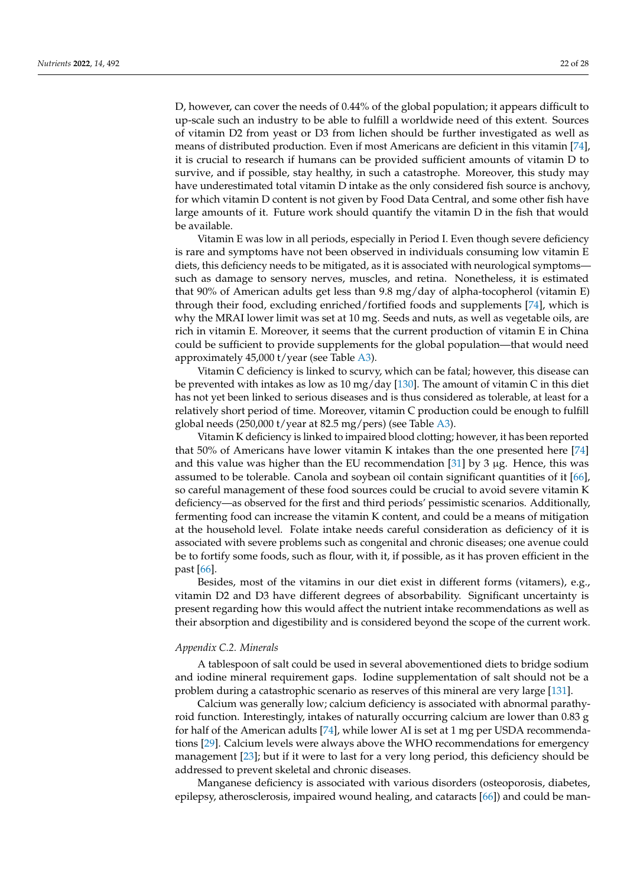D, however, can cover the needs of 0.44% of the global population; it appears difficult to up-scale such an industry to be able to fulfill a worldwide need of this extent. Sources of vitamin D2 from yeast or D3 from lichen should be further investigated as well as means of distributed production. Even if most Americans are deficient in this vitamin [\[74\]](#page-25-14), it is crucial to research if humans can be provided sufficient amounts of vitamin D to survive, and if possible, stay healthy, in such a catastrophe. Moreover, this study may have underestimated total vitamin D intake as the only considered fish source is anchovy, for which vitamin D content is not given by Food Data Central, and some other fish have large amounts of it. Future work should quantify the vitamin D in the fish that would be available.

Vitamin E was low in all periods, especially in Period I. Even though severe deficiency is rare and symptoms have not been observed in individuals consuming low vitamin E diets, this deficiency needs to be mitigated, as it is associated with neurological symptoms such as damage to sensory nerves, muscles, and retina. Nonetheless, it is estimated that 90% of American adults get less than 9.8 mg/day of alpha-tocopherol (vitamin E) through their food, excluding enriched/fortified foods and supplements [\[74\]](#page-25-14), which is why the MRAI lower limit was set at 10 mg. Seeds and nuts, as well as vegetable oils, are rich in vitamin E. Moreover, it seems that the current production of vitamin E in China could be sufficient to provide supplements for the global population—that would need approximately 45,000 t/year (see Table [A3\)](#page-20-1).

Vitamin C deficiency is linked to scurvy, which can be fatal; however, this disease can be prevented with intakes as low as 10 mg/day [\[130\]](#page-27-12). The amount of vitamin C in this diet has not yet been linked to serious diseases and is thus considered as tolerable, at least for a relatively short period of time. Moreover, vitamin C production could be enough to fulfill global needs (250,000 t/year at 82.5 mg/pers) (see Table [A3\)](#page-20-1).

Vitamin K deficiency is linked to impaired blood clotting; however, it has been reported that 50% of Americans have lower vitamin K intakes than the one presented here [\[74\]](#page-25-14) and this value was higher than the EU recommendation [\[31\]](#page-23-22) by 3  $\mu$ g. Hence, this was assumed to be tolerable. Canola and soybean oil contain significant quantities of it [\[66\]](#page-25-7), so careful management of these food sources could be crucial to avoid severe vitamin K deficiency—as observed for the first and third periods' pessimistic scenarios. Additionally, fermenting food can increase the vitamin K content, and could be a means of mitigation at the household level. Folate intake needs careful consideration as deficiency of it is associated with severe problems such as congenital and chronic diseases; one avenue could be to fortify some foods, such as flour, with it, if possible, as it has proven efficient in the past [\[66\]](#page-25-7).

Besides, most of the vitamins in our diet exist in different forms (vitamers), e.g., vitamin D2 and D3 have different degrees of absorbability. Significant uncertainty is present regarding how this would affect the nutrient intake recommendations as well as their absorption and digestibility and is considered beyond the scope of the current work.

## *Appendix C.2. Minerals*

A tablespoon of salt could be used in several abovementioned diets to bridge sodium and iodine mineral requirement gaps. Iodine supplementation of salt should not be a problem during a catastrophic scenario as reserves of this mineral are very large [\[131\]](#page-27-13).

Calcium was generally low; calcium deficiency is associated with abnormal parathyroid function. Interestingly, intakes of naturally occurring calcium are lower than  $0.83$  g for half of the American adults [\[74\]](#page-25-14), while lower AI is set at 1 mg per USDA recommendations [\[29\]](#page-23-20). Calcium levels were always above the WHO recommendations for emergency management [\[23\]](#page-23-16); but if it were to last for a very long period, this deficiency should be addressed to prevent skeletal and chronic diseases.

Manganese deficiency is associated with various disorders (osteoporosis, diabetes, epilepsy, atherosclerosis, impaired wound healing, and cataracts [\[66\]](#page-25-7)) and could be man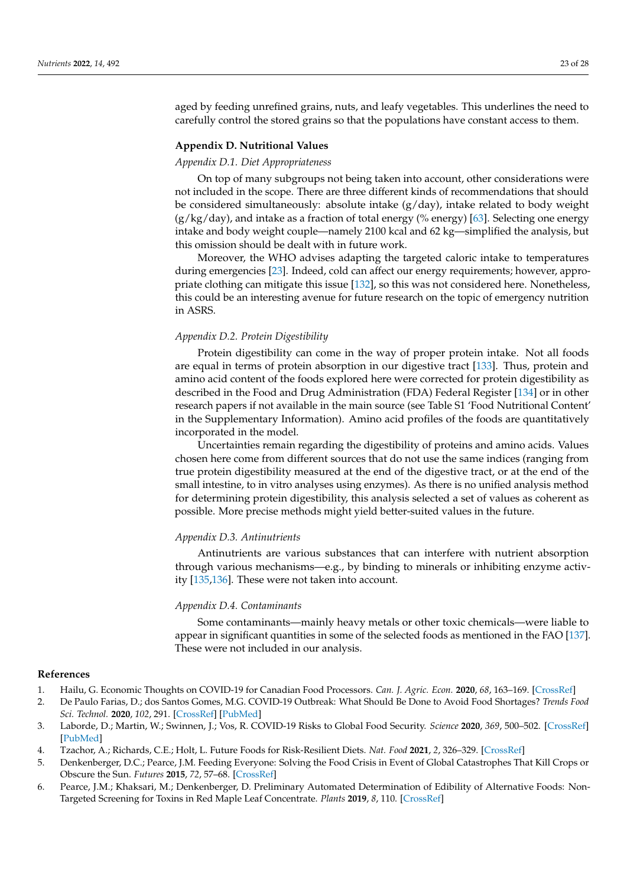aged by feeding unrefined grains, nuts, and leafy vegetables. This underlines the need to carefully control the stored grains so that the populations have constant access to them.

## <span id="page-22-4"></span>**Appendix D. Nutritional Values**

## *Appendix D.1. Diet Appropriateness*

On top of many subgroups not being taken into account, other considerations were not included in the scope. There are three different kinds of recommendations that should be considered simultaneously: absolute intake  $(g/day)$ , intake related to body weight (g/kg/day), and intake as a fraction of total energy (% energy) [\[63\]](#page-25-4). Selecting one energy intake and body weight couple—namely 2100 kcal and 62 kg—simplified the analysis, but this omission should be dealt with in future work.

Moreover, the WHO advises adapting the targeted caloric intake to temperatures during emergencies [\[23\]](#page-23-16). Indeed, cold can affect our energy requirements; however, appropriate clothing can mitigate this issue [\[132\]](#page-27-14), so this was not considered here. Nonetheless, this could be an interesting avenue for future research on the topic of emergency nutrition in ASRS.

## *Appendix D.2. Protein Digestibility*

Protein digestibility can come in the way of proper protein intake. Not all foods are equal in terms of protein absorption in our digestive tract [\[133\]](#page-27-15). Thus, protein and amino acid content of the foods explored here were corrected for protein digestibility as described in the Food and Drug Administration (FDA) Federal Register [\[134\]](#page-27-16) or in other research papers if not available in the main source (see Table S1 'Food Nutritional Content' in the Supplementary Information). Amino acid profiles of the foods are quantitatively incorporated in the model.

Uncertainties remain regarding the digestibility of proteins and amino acids. Values chosen here come from different sources that do not use the same indices (ranging from true protein digestibility measured at the end of the digestive tract, or at the end of the small intestine, to in vitro analyses using enzymes). As there is no unified analysis method for determining protein digestibility, this analysis selected a set of values as coherent as possible. More precise methods might yield better-suited values in the future.

## *Appendix D.3. Antinutrients*

Antinutrients are various substances that can interfere with nutrient absorption through various mechanisms—e.g., by binding to minerals or inhibiting enzyme activity [\[135](#page-27-17)[,136\]](#page-27-18). These were not taken into account.

## *Appendix D.4. Contaminants*

Some contaminants—mainly heavy metals or other toxic chemicals—were liable to appear in significant quantities in some of the selected foods as mentioned in the FAO [\[137\]](#page-27-19). These were not included in our analysis.

## **References**

- <span id="page-22-0"></span>1. Hailu, G. Economic Thoughts on COVID-19 for Canadian Food Processors. *Can. J. Agric. Econ.* **2020**, *68*, 163–169. [\[CrossRef\]](http://doi.org/10.1111/cjag.12241)
- 2. De Paulo Farias, D.; dos Santos Gomes, M.G. COVID-19 Outbreak: What Should Be Done to Avoid Food Shortages? *Trends Food Sci. Technol.* **2020**, *102*, 291. [\[CrossRef\]](http://doi.org/10.1016/j.tifs.2020.06.007) [\[PubMed\]](http://www.ncbi.nlm.nih.gov/pubmed/32834501)
- 3. Laborde, D.; Martin, W.; Swinnen, J.; Vos, R. COVID-19 Risks to Global Food Security. *Science* **2020**, *369*, 500–502. [\[CrossRef\]](http://doi.org/10.1126/science.abc4765) [\[PubMed\]](http://www.ncbi.nlm.nih.gov/pubmed/32732407)
- <span id="page-22-1"></span>4. Tzachor, A.; Richards, C.E.; Holt, L. Future Foods for Risk-Resilient Diets. *Nat. Food* **2021**, *2*, 326–329. [\[CrossRef\]](http://doi.org/10.1038/s43016-021-00269-x)
- <span id="page-22-2"></span>5. Denkenberger, D.C.; Pearce, J.M. Feeding Everyone: Solving the Food Crisis in Event of Global Catastrophes That Kill Crops or Obscure the Sun. *Futures* **2015**, *72*, 57–68. [\[CrossRef\]](http://doi.org/10.1016/j.futures.2014.11.008)
- <span id="page-22-3"></span>6. Pearce, J.M.; Khaksari, M.; Denkenberger, D. Preliminary Automated Determination of Edibility of Alternative Foods: Non-Targeted Screening for Toxins in Red Maple Leaf Concentrate. *Plants* **2019**, *8*, 110. [\[CrossRef\]](http://doi.org/10.3390/plants8050110)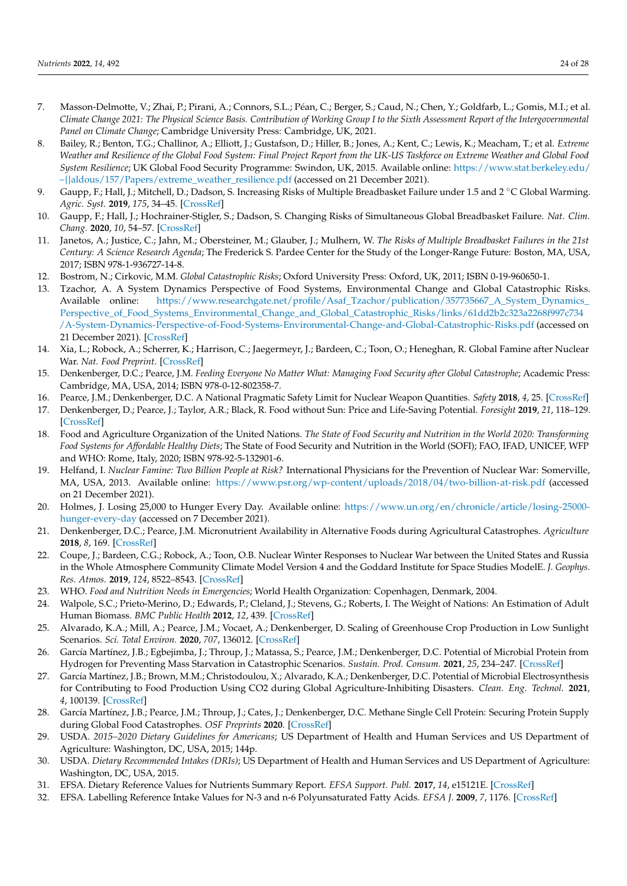- <span id="page-23-0"></span>7. Masson-Delmotte, V.; Zhai, P.; Pirani, A.; Connors, S.L.; Péan, C.; Berger, S.; Caud, N.; Chen, Y.; Goldfarb, L.; Gomis, M.I.; et al. *Climate Change 2021: The Physical Science Basis. Contribution of Working Group I to the Sixth Assessment Report of the Intergovernmental Panel on Climate Change*; Cambridge University Press: Cambridge, UK, 2021.
- <span id="page-23-1"></span>8. Bailey, R.; Benton, T.G.; Challinor, A.; Elliott, J.; Gustafson, D.; Hiller, B.; Jones, A.; Kent, C.; Lewis, K.; Meacham, T.; et al. *Extreme Weather and Resilience of the Global Food System: Final Project Report from the UK-US Taskforce on Extreme Weather and Global Food System Resilience*; UK Global Food Security Programme: Swindon, UK, 2015. Available online: [https://www.stat.berkeley.edu/](https://www.stat.berkeley.edu/~{}aldous/157/Papers/extreme_weather_resilience.pdf) [~{}aldous/157/Papers/extreme\\_weather\\_resilience.pdf](https://www.stat.berkeley.edu/~{}aldous/157/Papers/extreme_weather_resilience.pdf) (accessed on 21 December 2021).
- <span id="page-23-2"></span>9. Gaupp, F.; Hall, J.; Mitchell, D.; Dadson, S. Increasing Risks of Multiple Breadbasket Failure under 1.5 and 2 °C Global Warming. *Agric. Syst.* **2019**, *175*, 34–45. [\[CrossRef\]](http://doi.org/10.1016/j.agsy.2019.05.010)
- <span id="page-23-3"></span>10. Gaupp, F.; Hall, J.; Hochrainer-Stigler, S.; Dadson, S. Changing Risks of Simultaneous Global Breadbasket Failure. *Nat. Clim. Chang.* **2020**, *10*, 54–57. [\[CrossRef\]](http://doi.org/10.1038/s41558-019-0600-z)
- <span id="page-23-4"></span>11. Janetos, A.; Justice, C.; Jahn, M.; Obersteiner, M.; Glauber, J.; Mulhern, W. *The Risks of Multiple Breadbasket Failures in the 21st Century: A Science Research Agenda*; The Frederick S. Pardee Center for the Study of the Longer-Range Future: Boston, MA, USA, 2017; ISBN 978-1-936727-14-8.
- <span id="page-23-5"></span>12. Bostrom, N.; Cirkovic, M.M. *Global Catastrophic Risks*; Oxford University Press: Oxford, UK, 2011; ISBN 0-19-960650-1.
- <span id="page-23-6"></span>13. Tzachor, A. A System Dynamics Perspective of Food Systems, Environmental Change and Global Catastrophic Risks. Available online: [https://www.researchgate.net/profile/Asaf\\_Tzachor/publication/357735667\\_A\\_System\\_Dynamics\\_](https://www.researchgate.net/profile/Asaf_Tzachor/publication/357735667_A_System_Dynamics_Perspective_of_Food_Systems_Environmental_Change_and_Global_Catastrophic_Risks/links/61dd2b2c323a2268f997c734/A-System-Dynamics-Perspective-of-Food-Systems-Environmental-Change-and-Global-Catastrophic-Risks.pdf) [Perspective\\_of\\_Food\\_Systems\\_Environmental\\_Change\\_and\\_Global\\_Catastrophic\\_Risks/links/61dd2b2c323a2268f997c734](https://www.researchgate.net/profile/Asaf_Tzachor/publication/357735667_A_System_Dynamics_Perspective_of_Food_Systems_Environmental_Change_and_Global_Catastrophic_Risks/links/61dd2b2c323a2268f997c734/A-System-Dynamics-Perspective-of-Food-Systems-Environmental-Change-and-Global-Catastrophic-Risks.pdf) [/A-System-Dynamics-Perspective-of-Food-Systems-Environmental-Change-and-Global-Catastrophic-Risks.pdf](https://www.researchgate.net/profile/Asaf_Tzachor/publication/357735667_A_System_Dynamics_Perspective_of_Food_Systems_Environmental_Change_and_Global_Catastrophic_Risks/links/61dd2b2c323a2268f997c734/A-System-Dynamics-Perspective-of-Food-Systems-Environmental-Change-and-Global-Catastrophic-Risks.pdf) (accessed on 21 December 2021). [\[CrossRef\]](http://doi.org/10.13140/RG.2.2.27334.19520)
- <span id="page-23-7"></span>14. Xia, L.; Robock, A.; Scherrer, K.; Harrison, C.; Jaegermeyr, J.; Bardeen, C.; Toon, O.; Heneghan, R. Global Famine after Nuclear War. *Nat. Food Preprint*. [\[CrossRef\]](http://doi.org/10.21203/rs.3.rs-830419/v1)
- <span id="page-23-8"></span>15. Denkenberger, D.C.; Pearce, J.M. *Feeding Everyone No Matter What: Managing Food Security after Global Catastrophe*; Academic Press: Cambridge, MA, USA, 2014; ISBN 978-0-12-802358-7.
- <span id="page-23-9"></span>16. Pearce, J.M.; Denkenberger, D.C. A National Pragmatic Safety Limit for Nuclear Weapon Quantities. *Safety* **2018**, *4*, 25. [\[CrossRef\]](http://doi.org/10.3390/safety4020025)
- <span id="page-23-10"></span>17. Denkenberger, D.; Pearce, J.; Taylor, A.R.; Black, R. Food without Sun: Price and Life-Saving Potential. *Foresight* **2019**, *21*, 118–129. [\[CrossRef\]](http://doi.org/10.1108/FS-04-2018-0041)
- <span id="page-23-11"></span>18. Food and Agriculture Organization of the United Nations. *The State of Food Security and Nutrition in the World 2020: Transforming Food Systems for Affordable Healthy Diets*; The State of Food Security and Nutrition in the World (SOFI); FAO, IFAD, UNICEF, WFP and WHO: Rome, Italy, 2020; ISBN 978-92-5-132901-6.
- <span id="page-23-12"></span>19. Helfand, I. *Nuclear Famine: Two Billion People at Risk?* International Physicians for the Prevention of Nuclear War: Somerville, MA, USA, 2013. Available online: <https://www.psr.org/wp-content/uploads/2018/04/two-billion-at-risk.pdf> (accessed on 21 December 2021).
- <span id="page-23-13"></span>20. Holmes, J. Losing 25,000 to Hunger Every Day. Available online: [https://www.un.org/en/chronicle/article/losing-25000](https://www.un.org/en/chronicle/article/losing-25000-hunger-every-day) [hunger-every-day](https://www.un.org/en/chronicle/article/losing-25000-hunger-every-day) (accessed on 7 December 2021).
- <span id="page-23-14"></span>21. Denkenberger, D.C.; Pearce, J.M. Micronutrient Availability in Alternative Foods during Agricultural Catastrophes. *Agriculture* **2018**, *8*, 169. [\[CrossRef\]](http://doi.org/10.3390/agriculture8110169)
- <span id="page-23-15"></span>22. Coupe, J.; Bardeen, C.G.; Robock, A.; Toon, O.B. Nuclear Winter Responses to Nuclear War between the United States and Russia in the Whole Atmosphere Community Climate Model Version 4 and the Goddard Institute for Space Studies ModelE. *J. Geophys. Res. Atmos.* **2019**, *124*, 8522–8543. [\[CrossRef\]](http://doi.org/10.1029/2019JD030509)
- <span id="page-23-16"></span>23. WHO. *Food and Nutrition Needs in Emergencies*; World Health Organization: Copenhagen, Denmark, 2004.
- <span id="page-23-17"></span>24. Walpole, S.C.; Prieto-Merino, D.; Edwards, P.; Cleland, J.; Stevens, G.; Roberts, I. The Weight of Nations: An Estimation of Adult Human Biomass. *BMC Public Health* **2012**, *12*, 439. [\[CrossRef\]](http://doi.org/10.1186/1471-2458-12-439)
- <span id="page-23-18"></span>25. Alvarado, K.A.; Mill, A.; Pearce, J.M.; Vocaet, A.; Denkenberger, D. Scaling of Greenhouse Crop Production in Low Sunlight Scenarios. *Sci. Total Environ.* **2020**, *707*, 136012. [\[CrossRef\]](http://doi.org/10.1016/j.scitotenv.2019.136012)
- <span id="page-23-24"></span>26. García Martínez, J.B.; Egbejimba, J.; Throup, J.; Matassa, S.; Pearce, J.M.; Denkenberger, D.C. Potential of Microbial Protein from Hydrogen for Preventing Mass Starvation in Catastrophic Scenarios. *Sustain. Prod. Consum.* **2021**, *25*, 234–247. [\[CrossRef\]](http://doi.org/10.1016/j.spc.2020.08.011)
- <span id="page-23-25"></span>27. García Martínez, J.B.; Brown, M.M.; Christodoulou, X.; Alvarado, K.A.; Denkenberger, D.C. Potential of Microbial Electrosynthesis for Contributing to Food Production Using CO2 during Global Agriculture-Inhibiting Disasters. *Clean. Eng. Technol.* **2021**, *4*, 100139. [\[CrossRef\]](http://doi.org/10.1016/j.clet.2021.100139)
- <span id="page-23-19"></span>28. García Martínez, J.B.; Pearce, J.M.; Throup, J.; Cates, J.; Denkenberger, D.C. Methane Single Cell Protein: Securing Protein Supply during Global Food Catastrophes. *OSF Preprints* **2020**. [\[CrossRef\]](http://doi.org/10.31219/osf.io/94mkg)
- <span id="page-23-20"></span>29. USDA. *2015–2020 Dietary Guidelines for Americans*; US Department of Health and Human Services and US Department of Agriculture: Washington, DC, USA, 2015; 144p.
- <span id="page-23-21"></span>30. USDA. *Dietary Recommended Intakes (DRIs)*; US Department of Health and Human Services and US Department of Agriculture: Washington, DC, USA, 2015.
- <span id="page-23-22"></span>31. EFSA. Dietary Reference Values for Nutrients Summary Report. *EFSA Support. Publ.* **2017**, *14*, e15121E. [\[CrossRef\]](http://doi.org/10.2903/sp.efsa.2017.e15121)
- <span id="page-23-23"></span>32. EFSA. Labelling Reference Intake Values for N-3 and n-6 Polyunsaturated Fatty Acids. *EFSA J.* **2009**, *7*, 1176. [\[CrossRef\]](http://doi.org/10.2903/j.efsa.2009.1176)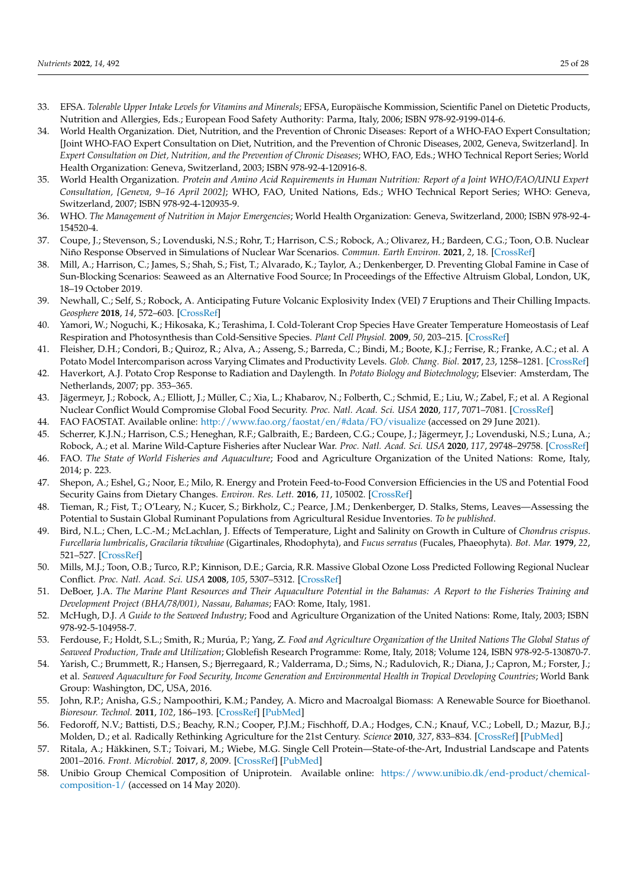- <span id="page-24-0"></span>33. EFSA. *Tolerable Upper Intake Levels for Vitamins and Minerals*; EFSA, Europäische Kommission, Scientific Panel on Dietetic Products, Nutrition and Allergies, Eds.; European Food Safety Authority: Parma, Italy, 2006; ISBN 978-92-9199-014-6.
- <span id="page-24-1"></span>34. World Health Organization. Diet, Nutrition, and the Prevention of Chronic Diseases: Report of a WHO-FAO Expert Consultation; [Joint WHO-FAO Expert Consultation on Diet, Nutrition, and the Prevention of Chronic Diseases, 2002, Geneva, Switzerland]. In *Expert Consultation on Diet, Nutrition, and the Prevention of Chronic Diseases*; WHO, FAO, Eds.; WHO Technical Report Series; World Health Organization: Geneva, Switzerland, 2003; ISBN 978-92-4-120916-8.
- <span id="page-24-2"></span>35. World Health Organization. *Protein and Amino Acid Requirements in Human Nutrition: Report of a Joint WHO/FAO/UNU Expert Consultation, [Geneva, 9–16 April 2002]*; WHO, FAO, United Nations, Eds.; WHO Technical Report Series; WHO: Geneva, Switzerland, 2007; ISBN 978-92-4-120935-9.
- <span id="page-24-3"></span>36. WHO. *The Management of Nutrition in Major Emergencies*; World Health Organization: Geneva, Switzerland, 2000; ISBN 978-92-4- 154520-4.
- <span id="page-24-4"></span>37. Coupe, J.; Stevenson, S.; Lovenduski, N.S.; Rohr, T.; Harrison, C.S.; Robock, A.; Olivarez, H.; Bardeen, C.G.; Toon, O.B. Nuclear Niño Response Observed in Simulations of Nuclear War Scenarios. *Commun. Earth Environ.* **2021**, *2*, 18. [\[CrossRef\]](http://doi.org/10.1038/s43247-020-00088-1)
- <span id="page-24-5"></span>38. Mill, A.; Harrison, C.; James, S.; Shah, S.; Fist, T.; Alvarado, K.; Taylor, A.; Denkenberger, D. Preventing Global Famine in Case of Sun-Blocking Scenarios: Seaweed as an Alternative Food Source; In Proceedings of the Effective Altruism Global, London, UK, 18–19 October 2019.
- <span id="page-24-6"></span>39. Newhall, C.; Self, S.; Robock, A. Anticipating Future Volcanic Explosivity Index (VEI) 7 Eruptions and Their Chilling Impacts. *Geosphere* **2018**, *14*, 572–603. [\[CrossRef\]](http://doi.org/10.1130/GES01513.1)
- <span id="page-24-7"></span>40. Yamori, W.; Noguchi, K.; Hikosaka, K.; Terashima, I. Cold-Tolerant Crop Species Have Greater Temperature Homeostasis of Leaf Respiration and Photosynthesis than Cold-Sensitive Species. *Plant Cell Physiol.* **2009**, *50*, 203–215. [\[CrossRef\]](http://doi.org/10.1093/pcp/pcn189)
- 41. Fleisher, D.H.; Condori, B.; Quiroz, R.; Alva, A.; Asseng, S.; Barreda, C.; Bindi, M.; Boote, K.J.; Ferrise, R.; Franke, A.C.; et al. A Potato Model Intercomparison across Varying Climates and Productivity Levels. *Glob. Chang. Biol.* **2017**, *23*, 1258–1281. [\[CrossRef\]](http://doi.org/10.1111/gcb.13411)
- <span id="page-24-8"></span>42. Haverkort, A.J. Potato Crop Response to Radiation and Daylength. In *Potato Biology and Biotechnology*; Elsevier: Amsterdam, The Netherlands, 2007; pp. 353–365.
- <span id="page-24-9"></span>43. Jägermeyr, J.; Robock, A.; Elliott, J.; Müller, C.; Xia, L.; Khabarov, N.; Folberth, C.; Schmid, E.; Liu, W.; Zabel, F.; et al. A Regional Nuclear Conflict Would Compromise Global Food Security. *Proc. Natl. Acad. Sci. USA* **2020**, *117*, 7071–7081. [\[CrossRef\]](http://doi.org/10.1073/pnas.1919049117)
- <span id="page-24-10"></span>44. FAO FAOSTAT. Available online: <http://www.fao.org/faostat/en/#data/FO/visualize> (accessed on 29 June 2021).
- <span id="page-24-11"></span>45. Scherrer, K.J.N.; Harrison, C.S.; Heneghan, R.F.; Galbraith, E.; Bardeen, C.G.; Coupe, J.; Jägermeyr, J.; Lovenduski, N.S.; Luna, A.; Robock, A.; et al. Marine Wild-Capture Fisheries after Nuclear War. *Proc. Natl. Acad. Sci. USA* **2020**, *117*, 29748–29758. [\[CrossRef\]](http://doi.org/10.1073/pnas.2008256117)
- <span id="page-24-12"></span>46. FAO. *The State of World Fisheries and Aquaculture*; Food and Agriculture Organization of the United Nations: Rome, Italy, 2014; p. 223.
- <span id="page-24-13"></span>47. Shepon, A.; Eshel, G.; Noor, E.; Milo, R. Energy and Protein Feed-to-Food Conversion Efficiencies in the US and Potential Food Security Gains from Dietary Changes. *Environ. Res. Lett.* **2016**, *11*, 105002. [\[CrossRef\]](http://doi.org/10.1088/1748-9326/11/10/105002)
- <span id="page-24-14"></span>48. Tieman, R.; Fist, T.; O'Leary, N.; Kucer, S.; Birkholz, C.; Pearce, J.M.; Denkenberger, D. Stalks, Stems, Leaves—Assessing the Potential to Sustain Global Ruminant Populations from Agricultural Residue Inventories. *To be published*.
- <span id="page-24-15"></span>49. Bird, N.L.; Chen, L.C.-M.; McLachlan, J. Effects of Temperature, Light and Salinity on Growth in Culture of *Chondrus crispus*. *Furcellaria lumbricalis*, *Gracilaria tikvahiae* (Gigartinales, Rhodophyta), and *Fucus serratus* (Fucales, Phaeophyta). *Bot. Mar.* **1979**, *22*, 521–527. [\[CrossRef\]](http://doi.org/10.1515/botm.1979.22.8.521)
- <span id="page-24-16"></span>50. Mills, M.J.; Toon, O.B.; Turco, R.P.; Kinnison, D.E.; Garcia, R.R. Massive Global Ozone Loss Predicted Following Regional Nuclear Conflict. *Proc. Natl. Acad. Sci. USA* **2008**, *105*, 5307–5312. [\[CrossRef\]](http://doi.org/10.1073/pnas.0710058105)
- <span id="page-24-17"></span>51. DeBoer, J.A. *The Marine Plant Resources and Their Aquaculture Potential in the Bahamas: A Report to the Fisheries Training and Development Project (BHA/78/001), Nassau, Bahamas*; FAO: Rome, Italy, 1981.
- 52. McHugh, D.J. *A Guide to the Seaweed Industry*; Food and Agriculture Organization of the United Nations: Rome, Italy, 2003; ISBN 978-92-5-104958-7.
- <span id="page-24-18"></span>53. Ferdouse, F.; Holdt, S.L.; Smith, R.; Murúa, P.; Yang, Z. *Food and Agriculture Organization of the United Nations The Global Status of Seaweed Production, Trade and Utilization*; Globlefish Research Programme: Rome, Italy, 2018; Volume 124, ISBN 978-92-5-130870-7.
- <span id="page-24-19"></span>54. Yarish, C.; Brummett, R.; Hansen, S.; Bjerregaard, R.; Valderrama, D.; Sims, N.; Radulovich, R.; Diana, J.; Capron, M.; Forster, J.; et al. *Seaweed Aquaculture for Food Security, Income Generation and Environmental Health in Tropical Developing Countries*; World Bank Group: Washington, DC, USA, 2016.
- <span id="page-24-20"></span>55. John, R.P.; Anisha, G.S.; Nampoothiri, K.M.; Pandey, A. Micro and Macroalgal Biomass: A Renewable Source for Bioethanol. *Bioresour. Technol.* **2011**, *102*, 186–193. [\[CrossRef\]](http://doi.org/10.1016/j.biortech.2010.06.139) [\[PubMed\]](http://www.ncbi.nlm.nih.gov/pubmed/20663661)
- <span id="page-24-21"></span>56. Fedoroff, N.V.; Battisti, D.S.; Beachy, R.N.; Cooper, P.J.M.; Fischhoff, D.A.; Hodges, C.N.; Knauf, V.C.; Lobell, D.; Mazur, B.J.; Molden, D.; et al. Radically Rethinking Agriculture for the 21st Century. *Science* **2010**, *327*, 833–834. [\[CrossRef\]](http://doi.org/10.1126/science.1186834) [\[PubMed\]](http://www.ncbi.nlm.nih.gov/pubmed/20150494)
- <span id="page-24-22"></span>57. Ritala, A.; Häkkinen, S.T.; Toivari, M.; Wiebe, M.G. Single Cell Protein—State-of-the-Art, Industrial Landscape and Patents 2001–2016. *Front. Microbiol.* **2017**, *8*, 2009. [\[CrossRef\]](http://doi.org/10.3389/fmicb.2017.02009) [\[PubMed\]](http://www.ncbi.nlm.nih.gov/pubmed/29081772)
- <span id="page-24-23"></span>58. Unibio Group Chemical Composition of Uniprotein. Available online: [https://www.unibio.dk/end-product/chemical](https://www.unibio.dk/end-product/chemical-composition-1/)[composition-1/](https://www.unibio.dk/end-product/chemical-composition-1/) (accessed on 14 May 2020).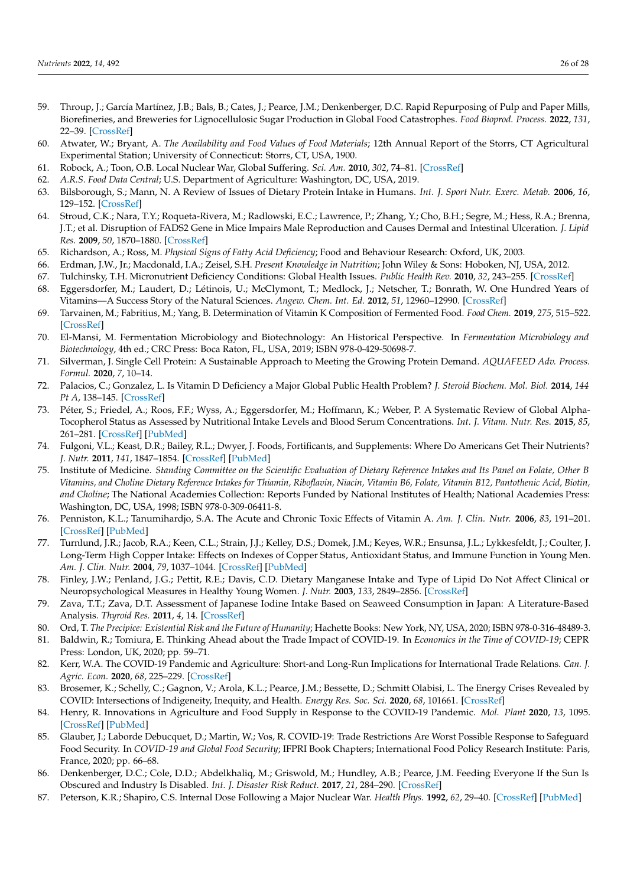- <span id="page-25-0"></span>59. Throup, J.; García Martínez, J.B.; Bals, B.; Cates, J.; Pearce, J.M.; Denkenberger, D.C. Rapid Repurposing of Pulp and Paper Mills, Biorefineries, and Breweries for Lignocellulosic Sugar Production in Global Food Catastrophes. *Food Bioprod. Process.* **2022**, *131*, 22–39. [\[CrossRef\]](http://doi.org/10.1016/j.fbp.2021.10.012)
- <span id="page-25-1"></span>60. Atwater, W.; Bryant, A. *The Availability and Food Values of Food Materials*; 12th Annual Report of the Storrs, CT Agricultural Experimental Station; University of Connecticut: Storrs, CT, USA, 1900.
- <span id="page-25-2"></span>61. Robock, A.; Toon, O.B. Local Nuclear War, Global Suffering. *Sci. Am.* **2010**, *302*, 74–81. [\[CrossRef\]](http://doi.org/10.1038/scientificamerican0110-74)
- <span id="page-25-3"></span>62. *A.R.S. Food Data Central*; U.S. Department of Agriculture: Washington, DC, USA, 2019.
- <span id="page-25-4"></span>63. Bilsborough, S.; Mann, N. A Review of Issues of Dietary Protein Intake in Humans. *Int. J. Sport Nutr. Exerc. Metab.* **2006**, *16*, 129–152. [\[CrossRef\]](http://doi.org/10.1123/ijsnem.16.2.129)
- <span id="page-25-5"></span>64. Stroud, C.K.; Nara, T.Y.; Roqueta-Rivera, M.; Radlowski, E.C.; Lawrence, P.; Zhang, Y.; Cho, B.H.; Segre, M.; Hess, R.A.; Brenna, J.T.; et al. Disruption of FADS2 Gene in Mice Impairs Male Reproduction and Causes Dermal and Intestinal Ulceration. *J. Lipid Res.* **2009**, *50*, 1870–1880. [\[CrossRef\]](http://doi.org/10.1194/jlr.M900039-JLR200)
- <span id="page-25-6"></span>65. Richardson, A.; Ross, M. *Physical Signs of Fatty Acid Deficiency*; Food and Behaviour Research: Oxford, UK, 2003.
- <span id="page-25-7"></span>66. Erdman, J.W., Jr.; Macdonald, I.A.; Zeisel, S.H. *Present Knowledge in Nutrition*; John Wiley & Sons: Hoboken, NJ, USA, 2012.
- <span id="page-25-8"></span>67. Tulchinsky, T.H. Micronutrient Deficiency Conditions: Global Health Issues. *Public Health Rev.* **2010**, *32*, 243–255. [\[CrossRef\]](http://doi.org/10.1007/BF03391600)
- <span id="page-25-9"></span>68. Eggersdorfer, M.; Laudert, D.; Létinois, U.; McClymont, T.; Medlock, J.; Netscher, T.; Bonrath, W. One Hundred Years of Vitamins—A Success Story of the Natural Sciences. *Angew. Chem. Int. Ed.* **2012**, *51*, 12960–12990. [\[CrossRef\]](http://doi.org/10.1002/anie.201205886)
- <span id="page-25-10"></span>69. Tarvainen, M.; Fabritius, M.; Yang, B. Determination of Vitamin K Composition of Fermented Food. *Food Chem.* **2019**, *275*, 515–522. [\[CrossRef\]](http://doi.org/10.1016/j.foodchem.2018.09.136)
- <span id="page-25-11"></span>70. El-Mansi, M. Fermentation Microbiology and Biotechnology: An Historical Perspective. In *Fermentation Microbiology and Biotechnology*, 4th ed.; CRC Press: Boca Raton, FL, USA, 2019; ISBN 978-0-429-50698-7.
- <span id="page-25-12"></span>71. Silverman, J. Single Cell Protein: A Sustainable Approach to Meeting the Growing Protein Demand. *AQUAFEED Adv. Process. Formul.* **2020**, *7*, 10–14.
- <span id="page-25-13"></span>72. Palacios, C.; Gonzalez, L. Is Vitamin D Deficiency a Major Global Public Health Problem? *J. Steroid Biochem. Mol. Biol.* **2014**, *144 Pt A*, 138–145. [\[CrossRef\]](http://doi.org/10.1016/j.jsbmb.2013.11.003)
- 73. Péter, S.; Friedel, A.; Roos, F.F.; Wyss, A.; Eggersdorfer, M.; Hoffmann, K.; Weber, P. A Systematic Review of Global Alpha-Tocopherol Status as Assessed by Nutritional Intake Levels and Blood Serum Concentrations. *Int. J. Vitam. Nutr. Res.* **2015**, *85*, 261–281. [\[CrossRef\]](http://doi.org/10.1024/0300-9831/a000281) [\[PubMed\]](http://www.ncbi.nlm.nih.gov/pubmed/27414419)
- <span id="page-25-14"></span>74. Fulgoni, V.L.; Keast, D.R.; Bailey, R.L.; Dwyer, J. Foods, Fortificants, and Supplements: Where Do Americans Get Their Nutrients? *J. Nutr.* **2011**, *141*, 1847–1854. [\[CrossRef\]](http://doi.org/10.3945/jn.111.142257) [\[PubMed\]](http://www.ncbi.nlm.nih.gov/pubmed/21865568)
- <span id="page-25-15"></span>75. Institute of Medicine. *Standing Committee on the Scientific Evaluation of Dietary Reference Intakes and Its Panel on Folate, Other B Vitamins, and Choline Dietary Reference Intakes for Thiamin, Riboflavin, Niacin, Vitamin B6, Folate, Vitamin B12, Pantothenic Acid, Biotin, and Choline*; The National Academies Collection: Reports Funded by National Institutes of Health; National Academies Press: Washington, DC, USA, 1998; ISBN 978-0-309-06411-8.
- <span id="page-25-16"></span>76. Penniston, K.L.; Tanumihardjo, S.A. The Acute and Chronic Toxic Effects of Vitamin A. *Am. J. Clin. Nutr.* **2006**, *83*, 191–201. [\[CrossRef\]](http://doi.org/10.1093/ajcn/83.2.191) [\[PubMed\]](http://www.ncbi.nlm.nih.gov/pubmed/16469975)
- <span id="page-25-17"></span>77. Turnlund, J.R.; Jacob, R.A.; Keen, C.L.; Strain, J.J.; Kelley, D.S.; Domek, J.M.; Keyes, W.R.; Ensunsa, J.L.; Lykkesfeldt, J.; Coulter, J. Long-Term High Copper Intake: Effects on Indexes of Copper Status, Antioxidant Status, and Immune Function in Young Men. *Am. J. Clin. Nutr.* **2004**, *79*, 1037–1044. [\[CrossRef\]](http://doi.org/10.1093/ajcn/79.6.1037) [\[PubMed\]](http://www.ncbi.nlm.nih.gov/pubmed/15159234)
- <span id="page-25-18"></span>78. Finley, J.W.; Penland, J.G.; Pettit, R.E.; Davis, C.D. Dietary Manganese Intake and Type of Lipid Do Not Affect Clinical or Neuropsychological Measures in Healthy Young Women. *J. Nutr.* **2003**, *133*, 2849–2856. [\[CrossRef\]](http://doi.org/10.1093/jn/133.9.2849)
- <span id="page-25-19"></span>79. Zava, T.T.; Zava, D.T. Assessment of Japanese Iodine Intake Based on Seaweed Consumption in Japan: A Literature-Based Analysis. *Thyroid Res.* **2011**, *4*, 14. [\[CrossRef\]](http://doi.org/10.1186/1756-6614-4-14)
- <span id="page-25-20"></span>80. Ord, T. *The Precipice: Existential Risk and the Future of Humanity*; Hachette Books: New York, NY, USA, 2020; ISBN 978-0-316-48489-3.
- <span id="page-25-21"></span>81. Baldwin, R.; Tomiura, E. Thinking Ahead about the Trade Impact of COVID-19. In *Economics in the Time of COVID-19*; CEPR Press: London, UK, 2020; pp. 59–71.
- 82. Kerr, W.A. The COVID-19 Pandemic and Agriculture: Short-and Long-Run Implications for International Trade Relations. *Can. J. Agric. Econ.* **2020**, *68*, 225–229. [\[CrossRef\]](http://doi.org/10.1111/cjag.12230)
- 83. Brosemer, K.; Schelly, C.; Gagnon, V.; Arola, K.L.; Pearce, J.M.; Bessette, D.; Schmitt Olabisi, L. The Energy Crises Revealed by COVID: Intersections of Indigeneity, Inequity, and Health. *Energy Res. Soc. Sci.* **2020**, *68*, 101661. [\[CrossRef\]](http://doi.org/10.1016/j.erss.2020.101661)
- <span id="page-25-22"></span>84. Henry, R. Innovations in Agriculture and Food Supply in Response to the COVID-19 Pandemic. *Mol. Plant* **2020**, *13*, 1095. [\[CrossRef\]](http://doi.org/10.1016/j.molp.2020.07.011) [\[PubMed\]](http://www.ncbi.nlm.nih.gov/pubmed/32711125)
- <span id="page-25-23"></span>85. Glauber, J.; Laborde Debucquet, D.; Martin, W.; Vos, R. COVID-19: Trade Restrictions Are Worst Possible Response to Safeguard Food Security. In *COVID-19 and Global Food Security*; IFPRI Book Chapters; International Food Policy Research Institute: Paris, France, 2020; pp. 66–68.
- <span id="page-25-24"></span>86. Denkenberger, D.C.; Cole, D.D.; Abdelkhaliq, M.; Griswold, M.; Hundley, A.B.; Pearce, J.M. Feeding Everyone If the Sun Is Obscured and Industry Is Disabled. *Int. J. Disaster Risk Reduct.* **2017**, *21*, 284–290. [\[CrossRef\]](http://doi.org/10.1016/j.ijdrr.2016.12.018)
- <span id="page-25-25"></span>87. Peterson, K.R.; Shapiro, C.S. Internal Dose Following a Major Nuclear War. *Health Phys.* **1992**, *62*, 29–40. [\[CrossRef\]](http://doi.org/10.1097/00004032-199201000-00004) [\[PubMed\]](http://www.ncbi.nlm.nih.gov/pubmed/1727410)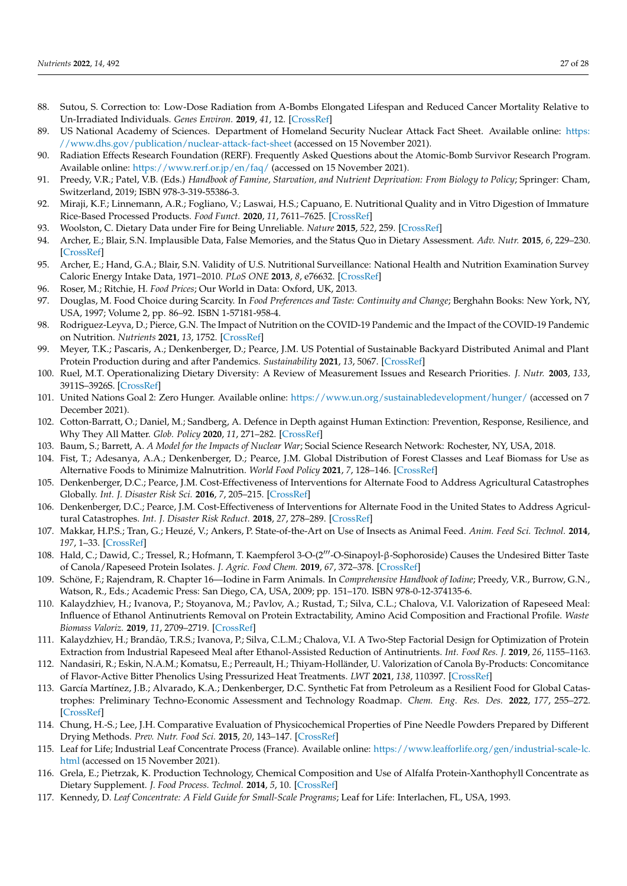- <span id="page-26-0"></span>88. Sutou, S. Correction to: Low-Dose Radiation from A-Bombs Elongated Lifespan and Reduced Cancer Mortality Relative to Un-Irradiated Individuals. *Genes Environ.* **2019**, *41*, 12. [\[CrossRef\]](http://doi.org/10.1186/s41021-019-0127-6)
- <span id="page-26-1"></span>89. US National Academy of Sciences. Department of Homeland Security Nuclear Attack Fact Sheet. Available online: [https:](https://www.dhs.gov/publication/nuclear-attack-fact-sheet) [//www.dhs.gov/publication/nuclear-attack-fact-sheet](https://www.dhs.gov/publication/nuclear-attack-fact-sheet) (accessed on 15 November 2021).
- <span id="page-26-2"></span>90. Radiation Effects Research Foundation (RERF). Frequently Asked Questions about the Atomic-Bomb Survivor Research Program. Available online: <https://www.rerf.or.jp/en/faq/> (accessed on 15 November 2021).
- <span id="page-26-3"></span>91. Preedy, V.R.; Patel, V.B. (Eds.) *Handbook of Famine, Starvation, and Nutrient Deprivation: From Biology to Policy*; Springer: Cham, Switzerland, 2019; ISBN 978-3-319-55386-3.
- <span id="page-26-4"></span>92. Miraji, K.F.; Linnemann, A.R.; Fogliano, V.; Laswai, H.S.; Capuano, E. Nutritional Quality and in Vitro Digestion of Immature Rice-Based Processed Products. *Food Funct.* **2020**, *11*, 7611–7625. [\[CrossRef\]](http://doi.org/10.1039/D0FO01668C)
- <span id="page-26-5"></span>93. Woolston, C. Dietary Data under Fire for Being Unreliable. *Nature* **2015**, *522*, 259. [\[CrossRef\]](http://doi.org/10.1038/522259f)
- 94. Archer, E.; Blair, S.N. Implausible Data, False Memories, and the Status Quo in Dietary Assessment. *Adv. Nutr.* **2015**, *6*, 229–230. [\[CrossRef\]](http://doi.org/10.3945/an.114.007799)
- <span id="page-26-6"></span>95. Archer, E.; Hand, G.A.; Blair, S.N. Validity of U.S. Nutritional Surveillance: National Health and Nutrition Examination Survey Caloric Energy Intake Data, 1971–2010. *PLoS ONE* **2013**, *8*, e76632. [\[CrossRef\]](http://doi.org/10.1371/annotation/c313df3a-52bd-4cbe-af14-6676480d1a43)
- <span id="page-26-7"></span>96. Roser, M.; Ritchie, H. *Food Prices*; Our World in Data: Oxford, UK, 2013.
- <span id="page-26-8"></span>97. Douglas, M. Food Choice during Scarcity. In *Food Preferences and Taste: Continuity and Change*; Berghahn Books: New York, NY, USA, 1997; Volume 2, pp. 86–92. ISBN 1-57181-958-4.
- <span id="page-26-9"></span>98. Rodriguez-Leyva, D.; Pierce, G.N. The Impact of Nutrition on the COVID-19 Pandemic and the Impact of the COVID-19 Pandemic on Nutrition. *Nutrients* **2021**, *13*, 1752. [\[CrossRef\]](http://doi.org/10.3390/nu13061752)
- <span id="page-26-10"></span>99. Meyer, T.K.; Pascaris, A.; Denkenberger, D.; Pearce, J.M. US Potential of Sustainable Backyard Distributed Animal and Plant Protein Production during and after Pandemics. *Sustainability* **2021**, *13*, 5067. [\[CrossRef\]](http://doi.org/10.3390/su13095067)
- <span id="page-26-11"></span>100. Ruel, M.T. Operationalizing Dietary Diversity: A Review of Measurement Issues and Research Priorities. *J. Nutr.* **2003**, *133*, 3911S–3926S. [\[CrossRef\]](http://doi.org/10.1093/jn/133.11.3911S)
- <span id="page-26-12"></span>101. United Nations Goal 2: Zero Hunger. Available online: <https://www.un.org/sustainabledevelopment/hunger/> (accessed on 7 December 2021).
- <span id="page-26-13"></span>102. Cotton-Barratt, O.; Daniel, M.; Sandberg, A. Defence in Depth against Human Extinction: Prevention, Response, Resilience, and Why They All Matter. *Glob. Policy* **2020**, *11*, 271–282. [\[CrossRef\]](http://doi.org/10.1111/1758-5899.12786)
- <span id="page-26-14"></span>103. Baum, S.; Barrett, A. *A Model for the Impacts of Nuclear War*; Social Science Research Network: Rochester, NY, USA, 2018.
- <span id="page-26-15"></span>104. Fist, T.; Adesanya, A.A.; Denkenberger, D.; Pearce, J.M. Global Distribution of Forest Classes and Leaf Biomass for Use as Alternative Foods to Minimize Malnutrition. *World Food Policy* **2021**, *7*, 128–146. [\[CrossRef\]](http://doi.org/10.1002/wfp2.12030)
- <span id="page-26-16"></span>105. Denkenberger, D.C.; Pearce, J.M. Cost-Effectiveness of Interventions for Alternate Food to Address Agricultural Catastrophes Globally. *Int. J. Disaster Risk Sci.* **2016**, *7*, 205–215. [\[CrossRef\]](http://doi.org/10.1007/s13753-016-0097-2)
- <span id="page-26-17"></span>106. Denkenberger, D.C.; Pearce, J.M. Cost-Effectiveness of Interventions for Alternate Food in the United States to Address Agricultural Catastrophes. *Int. J. Disaster Risk Reduct.* **2018**, *27*, 278–289. [\[CrossRef\]](http://doi.org/10.1016/j.ijdrr.2017.10.014)
- <span id="page-26-18"></span>107. Makkar, H.P.S.; Tran, G.; Heuzé, V.; Ankers, P. State-of-the-Art on Use of Insects as Animal Feed. *Anim. Feed Sci. Technol.* **2014**, *197*, 1–33. [\[CrossRef\]](http://doi.org/10.1016/j.anifeedsci.2014.07.008)
- <span id="page-26-19"></span>108. Hald, C.; Dawid, C.; Tressel, R.; Hofmann, T. Kaempferol 3-O-(2<sup>11</sup>-O-Sinapoyl-β-Sophoroside) Causes the Undesired Bitter Taste of Canola/Rapeseed Protein Isolates. *J. Agric. Food Chem.* **2019**, *67*, 372–378. [\[CrossRef\]](http://doi.org/10.1021/acs.jafc.8b06260)
- <span id="page-26-20"></span>109. Schöne, F.; Rajendram, R. Chapter 16—Iodine in Farm Animals. In *Comprehensive Handbook of Iodine*; Preedy, V.R., Burrow, G.N., Watson, R., Eds.; Academic Press: San Diego, CA, USA, 2009; pp. 151–170. ISBN 978-0-12-374135-6.
- <span id="page-26-21"></span>110. Kalaydzhiev, H.; Ivanova, P.; Stoyanova, M.; Pavlov, A.; Rustad, T.; Silva, C.L.; Chalova, V.I. Valorization of Rapeseed Meal: Influence of Ethanol Antinutrients Removal on Protein Extractability, Amino Acid Composition and Fractional Profile. *Waste Biomass Valoriz.* **2019**, *11*, 2709–2719. [\[CrossRef\]](http://doi.org/10.1007/s12649-018-00553-1)
- <span id="page-26-22"></span>111. Kalaydzhiev, H.; Brandão, T.R.S.; Ivanova, P.; Silva, C.L.M.; Chalova, V.I. A Two-Step Factorial Design for Optimization of Protein Extraction from Industrial Rapeseed Meal after Ethanol-Assisted Reduction of Antinutrients. *Int. Food Res. J.* **2019**, *26*, 1155–1163.
- <span id="page-26-23"></span>112. Nandasiri, R.; Eskin, N.A.M.; Komatsu, E.; Perreault, H.; Thiyam-Holländer, U. Valorization of Canola By-Products: Concomitance of Flavor-Active Bitter Phenolics Using Pressurized Heat Treatments. *LWT* **2021**, *138*, 110397. [\[CrossRef\]](http://doi.org/10.1016/j.lwt.2020.110397)
- <span id="page-26-24"></span>113. García Martínez, J.B.; Alvarado, K.A.; Denkenberger, D.C. Synthetic Fat from Petroleum as a Resilient Food for Global Catastrophes: Preliminary Techno-Economic Assessment and Technology Roadmap. *Chem. Eng. Res. Des.* **2022**, *177*, 255–272. [\[CrossRef\]](http://doi.org/10.1016/j.cherd.2021.10.017)
- <span id="page-26-25"></span>114. Chung, H.-S.; Lee, J.H. Comparative Evaluation of Physicochemical Properties of Pine Needle Powders Prepared by Different Drying Methods. *Prev. Nutr. Food Sci.* **2015**, *20*, 143–147. [\[CrossRef\]](http://doi.org/10.3746/pnf.2015.20.2.143)
- <span id="page-26-26"></span>115. Leaf for Life; Industrial Leaf Concentrate Process (France). Available online: [https://www.leafforlife.org/gen/industrial-scale-lc.](https://www.leafforlife.org/gen/industrial-scale-lc.html) [html](https://www.leafforlife.org/gen/industrial-scale-lc.html) (accessed on 15 November 2021).
- <span id="page-26-27"></span>116. Grela, E.; Pietrzak, K. Production Technology, Chemical Composition and Use of Alfalfa Protein-Xanthophyll Concentrate as Dietary Supplement. *J. Food Process. Technol.* **2014**, *5*, 10. [\[CrossRef\]](http://doi.org/10.4172/2157-7110.1000373)
- <span id="page-26-28"></span>117. Kennedy, D. *Leaf Concentrate: A Field Guide for Small-Scale Programs*; Leaf for Life: Interlachen, FL, USA, 1993.